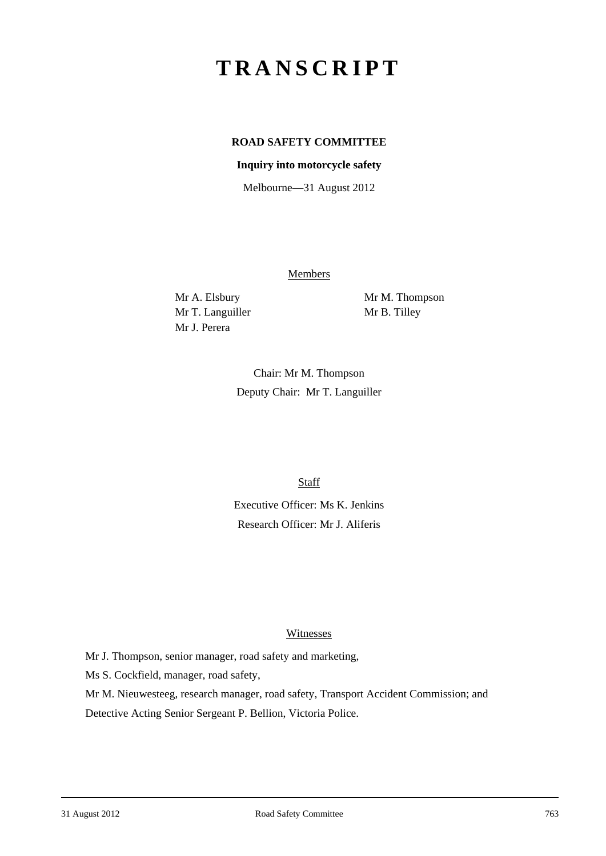# **TRANSCRIPT**

# **ROAD SAFETY COMMITTEE**

### **Inquiry into motorcycle safety**

Melbourne—31 August 2012

Members

Mr T. Languiller Mr B. Tilley Mr J. Perera

Mr A. Elsbury Mr M. Thompson

Chair: Mr M. Thompson Deputy Chair: Mr T. Languiller

**Staff** 

Executive Officer: Ms K. Jenkins Research Officer: Mr J. Aliferis

#### **Witnesses**

Mr J. Thompson, senior manager, road safety and marketing,

Ms S. Cockfield, manager, road safety,

Mr M. Nieuwesteeg, research manager, road safety, Transport Accident Commission; and Detective Acting Senior Sergeant P. Bellion, Victoria Police.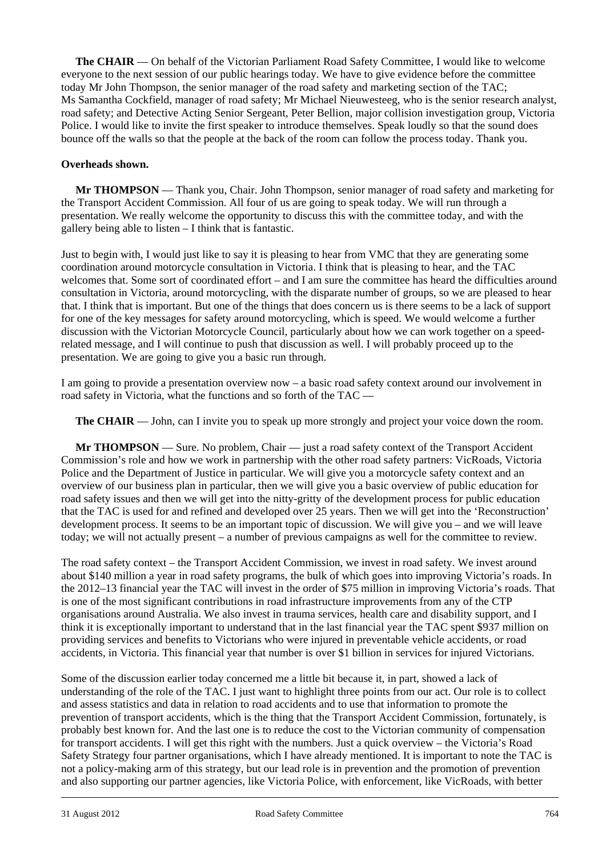**The CHAIR** — On behalf of the Victorian Parliament Road Safety Committee, I would like to welcome everyone to the next session of our public hearings today. We have to give evidence before the committee today Mr John Thompson, the senior manager of the road safety and marketing section of the TAC; Ms Samantha Cockfield, manager of road safety; Mr Michael Nieuwesteeg, who is the senior research analyst, road safety; and Detective Acting Senior Sergeant, Peter Bellion, major collision investigation group, Victoria Police. I would like to invite the first speaker to introduce themselves. Speak loudly so that the sound does bounce off the walls so that the people at the back of the room can follow the process today. Thank you.

## **Overheads shown.**

**Mr THOMPSON** — Thank you, Chair. John Thompson, senior manager of road safety and marketing for the Transport Accident Commission. All four of us are going to speak today. We will run through a presentation. We really welcome the opportunity to discuss this with the committee today, and with the gallery being able to listen – I think that is fantastic.

Just to begin with, I would just like to say it is pleasing to hear from VMC that they are generating some coordination around motorcycle consultation in Victoria. I think that is pleasing to hear, and the TAC welcomes that. Some sort of coordinated effort – and I am sure the committee has heard the difficulties around consultation in Victoria, around motorcycling, with the disparate number of groups, so we are pleased to hear that. I think that is important. But one of the things that does concern us is there seems to be a lack of support for one of the key messages for safety around motorcycling, which is speed. We would welcome a further discussion with the Victorian Motorcycle Council, particularly about how we can work together on a speedrelated message, and I will continue to push that discussion as well. I will probably proceed up to the presentation. We are going to give you a basic run through.

I am going to provide a presentation overview now – a basic road safety context around our involvement in road safety in Victoria, what the functions and so forth of the TAC —

**The CHAIR** — John, can I invite you to speak up more strongly and project your voice down the room.

**Mr THOMPSON** — Sure. No problem, Chair — just a road safety context of the Transport Accident Commission's role and how we work in partnership with the other road safety partners: VicRoads, Victoria Police and the Department of Justice in particular. We will give you a motorcycle safety context and an overview of our business plan in particular, then we will give you a basic overview of public education for road safety issues and then we will get into the nitty-gritty of the development process for public education that the TAC is used for and refined and developed over 25 years. Then we will get into the 'Reconstruction' development process. It seems to be an important topic of discussion. We will give you – and we will leave today; we will not actually present – a number of previous campaigns as well for the committee to review.

The road safety context – the Transport Accident Commission, we invest in road safety. We invest around about \$140 million a year in road safety programs, the bulk of which goes into improving Victoria's roads. In the 2012–13 financial year the TAC will invest in the order of \$75 million in improving Victoria's roads. That is one of the most significant contributions in road infrastructure improvements from any of the CTP organisations around Australia. We also invest in trauma services, health care and disability support, and I think it is exceptionally important to understand that in the last financial year the TAC spent \$937 million on providing services and benefits to Victorians who were injured in preventable vehicle accidents, or road accidents, in Victoria. This financial year that number is over \$1 billion in services for injured Victorians.

l Some of the discussion earlier today concerned me a little bit because it, in part, showed a lack of understanding of the role of the TAC. I just want to highlight three points from our act. Our role is to collect and assess statistics and data in relation to road accidents and to use that information to promote the prevention of transport accidents, which is the thing that the Transport Accident Commission, fortunately, is probably best known for. And the last one is to reduce the cost to the Victorian community of compensation for transport accidents. I will get this right with the numbers. Just a quick overview – the Victoria's Road Safety Strategy four partner organisations, which I have already mentioned. It is important to note the TAC is not a policy-making arm of this strategy, but our lead role is in prevention and the promotion of prevention and also supporting our partner agencies, like Victoria Police, with enforcement, like VicRoads, with better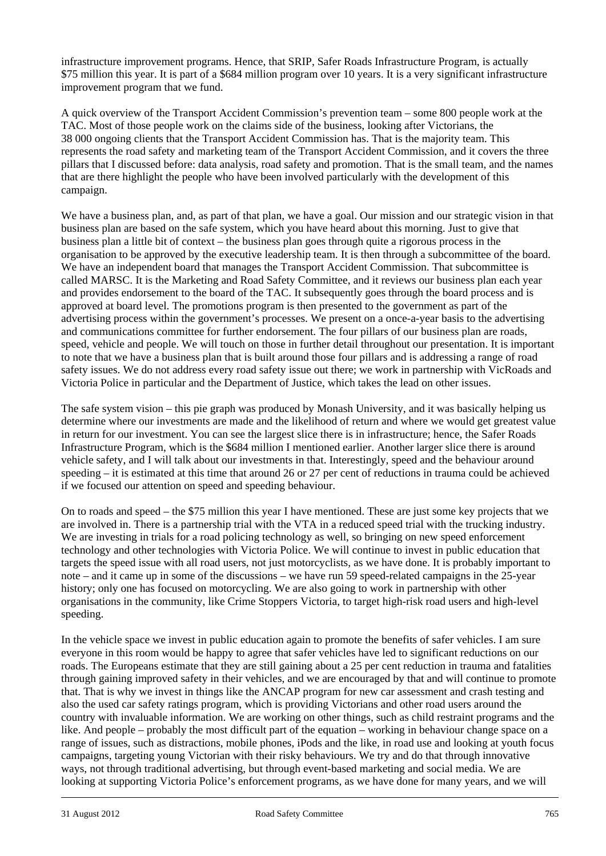infrastructure improvement programs. Hence, that SRIP, Safer Roads Infrastructure Program, is actually \$75 million this year. It is part of a \$684 million program over 10 years. It is a very significant infrastructure improvement program that we fund.

A quick overview of the Transport Accident Commission's prevention team – some 800 people work at the TAC. Most of those people work on the claims side of the business, looking after Victorians, the 38 000 ongoing clients that the Transport Accident Commission has. That is the majority team. This represents the road safety and marketing team of the Transport Accident Commission, and it covers the three pillars that I discussed before: data analysis, road safety and promotion. That is the small team, and the names that are there highlight the people who have been involved particularly with the development of this campaign.

We have a business plan, and, as part of that plan, we have a goal. Our mission and our strategic vision in that business plan are based on the safe system, which you have heard about this morning. Just to give that business plan a little bit of context – the business plan goes through quite a rigorous process in the organisation to be approved by the executive leadership team. It is then through a subcommittee of the board. We have an independent board that manages the Transport Accident Commission. That subcommittee is called MARSC. It is the Marketing and Road Safety Committee, and it reviews our business plan each year and provides endorsement to the board of the TAC. It subsequently goes through the board process and is approved at board level. The promotions program is then presented to the government as part of the advertising process within the government's processes. We present on a once-a-year basis to the advertising and communications committee for further endorsement. The four pillars of our business plan are roads, speed, vehicle and people. We will touch on those in further detail throughout our presentation. It is important to note that we have a business plan that is built around those four pillars and is addressing a range of road safety issues. We do not address every road safety issue out there; we work in partnership with VicRoads and Victoria Police in particular and the Department of Justice, which takes the lead on other issues.

The safe system vision – this pie graph was produced by Monash University, and it was basically helping us determine where our investments are made and the likelihood of return and where we would get greatest value in return for our investment. You can see the largest slice there is in infrastructure; hence, the Safer Roads Infrastructure Program, which is the \$684 million I mentioned earlier. Another larger slice there is around vehicle safety, and I will talk about our investments in that. Interestingly, speed and the behaviour around speeding – it is estimated at this time that around 26 or 27 per cent of reductions in trauma could be achieved if we focused our attention on speed and speeding behaviour.

On to roads and speed – the \$75 million this year I have mentioned. These are just some key projects that we are involved in. There is a partnership trial with the VTA in a reduced speed trial with the trucking industry. We are investing in trials for a road policing technology as well, so bringing on new speed enforcement technology and other technologies with Victoria Police. We will continue to invest in public education that targets the speed issue with all road users, not just motorcyclists, as we have done. It is probably important to note – and it came up in some of the discussions – we have run 59 speed-related campaigns in the 25-year history; only one has focused on motorcycling. We are also going to work in partnership with other organisations in the community, like Crime Stoppers Victoria, to target high-risk road users and high-level speeding.

l In the vehicle space we invest in public education again to promote the benefits of safer vehicles. I am sure everyone in this room would be happy to agree that safer vehicles have led to significant reductions on our roads. The Europeans estimate that they are still gaining about a 25 per cent reduction in trauma and fatalities through gaining improved safety in their vehicles, and we are encouraged by that and will continue to promote that. That is why we invest in things like the ANCAP program for new car assessment and crash testing and also the used car safety ratings program, which is providing Victorians and other road users around the country with invaluable information. We are working on other things, such as child restraint programs and the like. And people – probably the most difficult part of the equation – working in behaviour change space on a range of issues, such as distractions, mobile phones, iPods and the like, in road use and looking at youth focus campaigns, targeting young Victorian with their risky behaviours. We try and do that through innovative ways, not through traditional advertising, but through event-based marketing and social media. We are looking at supporting Victoria Police's enforcement programs, as we have done for many years, and we will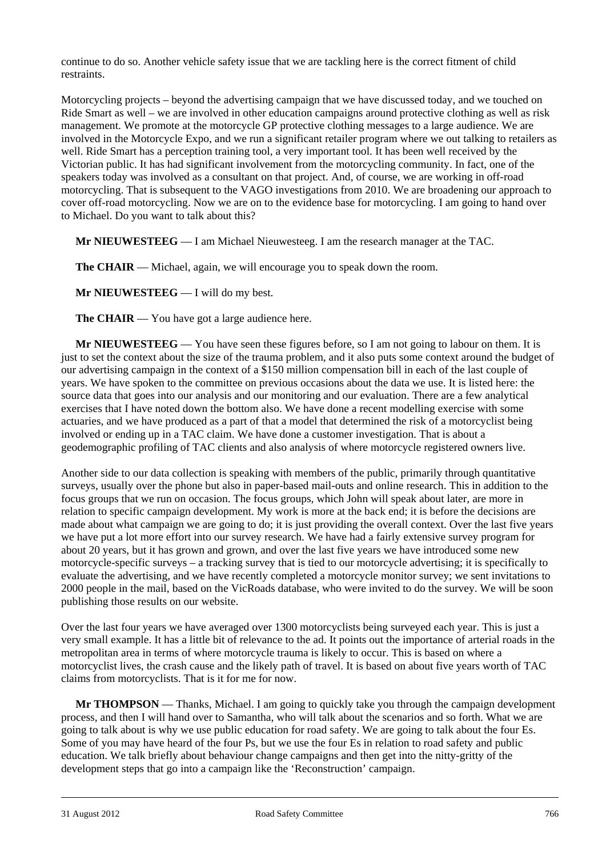continue to do so. Another vehicle safety issue that we are tackling here is the correct fitment of child restraints.

Motorcycling projects – beyond the advertising campaign that we have discussed today, and we touched on Ride Smart as well – we are involved in other education campaigns around protective clothing as well as risk management. We promote at the motorcycle GP protective clothing messages to a large audience. We are involved in the Motorcycle Expo, and we run a significant retailer program where we out talking to retailers as well. Ride Smart has a perception training tool, a very important tool. It has been well received by the Victorian public. It has had significant involvement from the motorcycling community. In fact, one of the speakers today was involved as a consultant on that project. And, of course, we are working in off-road motorcycling. That is subsequent to the VAGO investigations from 2010. We are broadening our approach to cover off-road motorcycling. Now we are on to the evidence base for motorcycling. I am going to hand over to Michael. Do you want to talk about this?

**Mr NIEUWESTEEG** — I am Michael Nieuwesteeg. I am the research manager at the TAC.

**The CHAIR** — Michael, again, we will encourage you to speak down the room.

**Mr NIEUWESTEEG** — I will do my best.

**The CHAIR** — You have got a large audience here.

**Mr NIEUWESTEEG** — You have seen these figures before, so I am not going to labour on them. It is just to set the context about the size of the trauma problem, and it also puts some context around the budget of our advertising campaign in the context of a \$150 million compensation bill in each of the last couple of years. We have spoken to the committee on previous occasions about the data we use. It is listed here: the source data that goes into our analysis and our monitoring and our evaluation. There are a few analytical exercises that I have noted down the bottom also. We have done a recent modelling exercise with some actuaries, and we have produced as a part of that a model that determined the risk of a motorcyclist being involved or ending up in a TAC claim. We have done a customer investigation. That is about a geodemographic profiling of TAC clients and also analysis of where motorcycle registered owners live.

Another side to our data collection is speaking with members of the public, primarily through quantitative surveys, usually over the phone but also in paper-based mail-outs and online research. This in addition to the focus groups that we run on occasion. The focus groups, which John will speak about later, are more in relation to specific campaign development. My work is more at the back end; it is before the decisions are made about what campaign we are going to do; it is just providing the overall context. Over the last five years we have put a lot more effort into our survey research. We have had a fairly extensive survey program for about 20 years, but it has grown and grown, and over the last five years we have introduced some new motorcycle-specific surveys – a tracking survey that is tied to our motorcycle advertising; it is specifically to evaluate the advertising, and we have recently completed a motorcycle monitor survey; we sent invitations to 2000 people in the mail, based on the VicRoads database, who were invited to do the survey. We will be soon publishing those results on our website.

Over the last four years we have averaged over 1300 motorcyclists being surveyed each year. This is just a very small example. It has a little bit of relevance to the ad. It points out the importance of arterial roads in the metropolitan area in terms of where motorcycle trauma is likely to occur. This is based on where a motorcyclist lives, the crash cause and the likely path of travel. It is based on about five years worth of TAC claims from motorcyclists. That is it for me for now.

**Mr THOMPSON** — Thanks, Michael. I am going to quickly take you through the campaign development process, and then I will hand over to Samantha, who will talk about the scenarios and so forth. What we are going to talk about is why we use public education for road safety. We are going to talk about the four Es. Some of you may have heard of the four Ps, but we use the four Es in relation to road safety and public education. We talk briefly about behaviour change campaigns and then get into the nitty-gritty of the development steps that go into a campaign like the 'Reconstruction' campaign.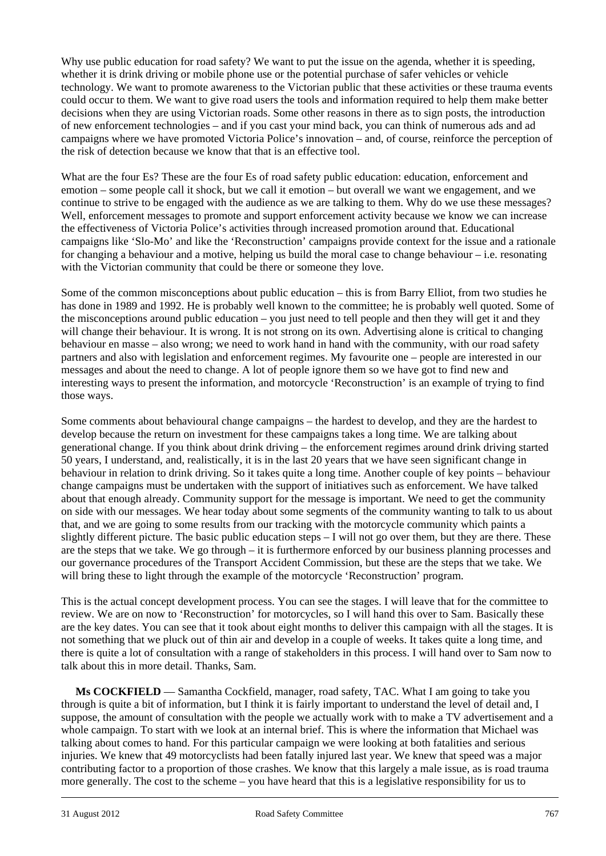Why use public education for road safety? We want to put the issue on the agenda, whether it is speeding, whether it is drink driving or mobile phone use or the potential purchase of safer vehicles or vehicle technology. We want to promote awareness to the Victorian public that these activities or these trauma events could occur to them. We want to give road users the tools and information required to help them make better decisions when they are using Victorian roads. Some other reasons in there as to sign posts, the introduction of new enforcement technologies – and if you cast your mind back, you can think of numerous ads and ad campaigns where we have promoted Victoria Police's innovation – and, of course, reinforce the perception of the risk of detection because we know that that is an effective tool.

What are the four Es? These are the four Es of road safety public education: education, enforcement and emotion – some people call it shock, but we call it emotion – but overall we want we engagement, and we continue to strive to be engaged with the audience as we are talking to them. Why do we use these messages? Well, enforcement messages to promote and support enforcement activity because we know we can increase the effectiveness of Victoria Police's activities through increased promotion around that. Educational campaigns like 'Slo-Mo' and like the 'Reconstruction' campaigns provide context for the issue and a rationale for changing a behaviour and a motive, helping us build the moral case to change behaviour – i.e. resonating with the Victorian community that could be there or someone they love.

Some of the common misconceptions about public education – this is from Barry Elliot, from two studies he has done in 1989 and 1992. He is probably well known to the committee; he is probably well quoted. Some of the misconceptions around public education – you just need to tell people and then they will get it and they will change their behaviour. It is wrong. It is not strong on its own. Advertising alone is critical to changing behaviour en masse – also wrong; we need to work hand in hand with the community, with our road safety partners and also with legislation and enforcement regimes. My favourite one – people are interested in our messages and about the need to change. A lot of people ignore them so we have got to find new and interesting ways to present the information, and motorcycle 'Reconstruction' is an example of trying to find those ways.

Some comments about behavioural change campaigns – the hardest to develop, and they are the hardest to develop because the return on investment for these campaigns takes a long time. We are talking about generational change. If you think about drink driving – the enforcement regimes around drink driving started 50 years, I understand, and, realistically, it is in the last 20 years that we have seen significant change in behaviour in relation to drink driving. So it takes quite a long time. Another couple of key points – behaviour change campaigns must be undertaken with the support of initiatives such as enforcement. We have talked about that enough already. Community support for the message is important. We need to get the community on side with our messages. We hear today about some segments of the community wanting to talk to us about that, and we are going to some results from our tracking with the motorcycle community which paints a slightly different picture. The basic public education steps  $-I$  will not go over them, but they are there. These are the steps that we take. We go through – it is furthermore enforced by our business planning processes and our governance procedures of the Transport Accident Commission, but these are the steps that we take. We will bring these to light through the example of the motorcycle 'Reconstruction' program.

This is the actual concept development process. You can see the stages. I will leave that for the committee to review. We are on now to 'Reconstruction' for motorcycles, so I will hand this over to Sam. Basically these are the key dates. You can see that it took about eight months to deliver this campaign with all the stages. It is not something that we pluck out of thin air and develop in a couple of weeks. It takes quite a long time, and there is quite a lot of consultation with a range of stakeholders in this process. I will hand over to Sam now to talk about this in more detail. Thanks, Sam.

l **Ms COCKFIELD** — Samantha Cockfield, manager, road safety, TAC. What I am going to take you through is quite a bit of information, but I think it is fairly important to understand the level of detail and, I suppose, the amount of consultation with the people we actually work with to make a TV advertisement and a whole campaign. To start with we look at an internal brief. This is where the information that Michael was talking about comes to hand. For this particular campaign we were looking at both fatalities and serious injuries. We knew that 49 motorcyclists had been fatally injured last year. We knew that speed was a major contributing factor to a proportion of those crashes. We know that this largely a male issue, as is road trauma more generally. The cost to the scheme – you have heard that this is a legislative responsibility for us to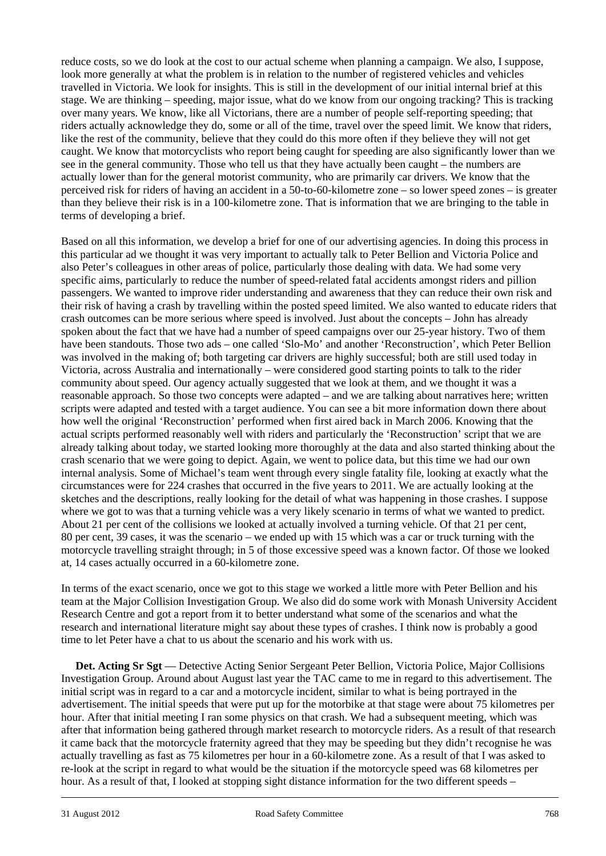reduce costs, so we do look at the cost to our actual scheme when planning a campaign. We also, I suppose, look more generally at what the problem is in relation to the number of registered vehicles and vehicles travelled in Victoria. We look for insights. This is still in the development of our initial internal brief at this stage. We are thinking – speeding, major issue, what do we know from our ongoing tracking? This is tracking over many years. We know, like all Victorians, there are a number of people self-reporting speeding; that riders actually acknowledge they do, some or all of the time, travel over the speed limit. We know that riders, like the rest of the community, believe that they could do this more often if they believe they will not get caught. We know that motorcyclists who report being caught for speeding are also significantly lower than we see in the general community. Those who tell us that they have actually been caught – the numbers are actually lower than for the general motorist community, who are primarily car drivers. We know that the perceived risk for riders of having an accident in a 50-to-60-kilometre zone – so lower speed zones – is greater than they believe their risk is in a 100-kilometre zone. That is information that we are bringing to the table in terms of developing a brief.

Based on all this information, we develop a brief for one of our advertising agencies. In doing this process in this particular ad we thought it was very important to actually talk to Peter Bellion and Victoria Police and also Peter's colleagues in other areas of police, particularly those dealing with data. We had some very specific aims, particularly to reduce the number of speed-related fatal accidents amongst riders and pillion passengers. We wanted to improve rider understanding and awareness that they can reduce their own risk and their risk of having a crash by travelling within the posted speed limited. We also wanted to educate riders that crash outcomes can be more serious where speed is involved. Just about the concepts – John has already spoken about the fact that we have had a number of speed campaigns over our 25-year history. Two of them have been standouts. Those two ads – one called 'Slo-Mo' and another 'Reconstruction', which Peter Bellion was involved in the making of; both targeting car drivers are highly successful; both are still used today in Victoria, across Australia and internationally – were considered good starting points to talk to the rider community about speed. Our agency actually suggested that we look at them, and we thought it was a reasonable approach. So those two concepts were adapted – and we are talking about narratives here; written scripts were adapted and tested with a target audience. You can see a bit more information down there about how well the original 'Reconstruction' performed when first aired back in March 2006. Knowing that the actual scripts performed reasonably well with riders and particularly the 'Reconstruction' script that we are already talking about today, we started looking more thoroughly at the data and also started thinking about the crash scenario that we were going to depict. Again, we went to police data, but this time we had our own internal analysis. Some of Michael's team went through every single fatality file, looking at exactly what the circumstances were for 224 crashes that occurred in the five years to 2011. We are actually looking at the sketches and the descriptions, really looking for the detail of what was happening in those crashes. I suppose where we got to was that a turning vehicle was a very likely scenario in terms of what we wanted to predict. About 21 per cent of the collisions we looked at actually involved a turning vehicle. Of that 21 per cent, 80 per cent, 39 cases, it was the scenario – we ended up with 15 which was a car or truck turning with the motorcycle travelling straight through; in 5 of those excessive speed was a known factor. Of those we looked at, 14 cases actually occurred in a 60-kilometre zone.

In terms of the exact scenario, once we got to this stage we worked a little more with Peter Bellion and his team at the Major Collision Investigation Group. We also did do some work with Monash University Accident Research Centre and got a report from it to better understand what some of the scenarios and what the research and international literature might say about these types of crashes. I think now is probably a good time to let Peter have a chat to us about the scenario and his work with us.

l Det. Acting Sr Sgt — Detective Acting Senior Sergeant Peter Bellion, Victoria Police, Major Collisions Investigation Group. Around about August last year the TAC came to me in regard to this advertisement. The initial script was in regard to a car and a motorcycle incident, similar to what is being portrayed in the advertisement. The initial speeds that were put up for the motorbike at that stage were about 75 kilometres per hour. After that initial meeting I ran some physics on that crash. We had a subsequent meeting, which was after that information being gathered through market research to motorcycle riders. As a result of that research it came back that the motorcycle fraternity agreed that they may be speeding but they didn't recognise he was actually travelling as fast as 75 kilometres per hour in a 60-kilometre zone. As a result of that I was asked to re-look at the script in regard to what would be the situation if the motorcycle speed was 68 kilometres per hour. As a result of that, I looked at stopping sight distance information for the two different speeds –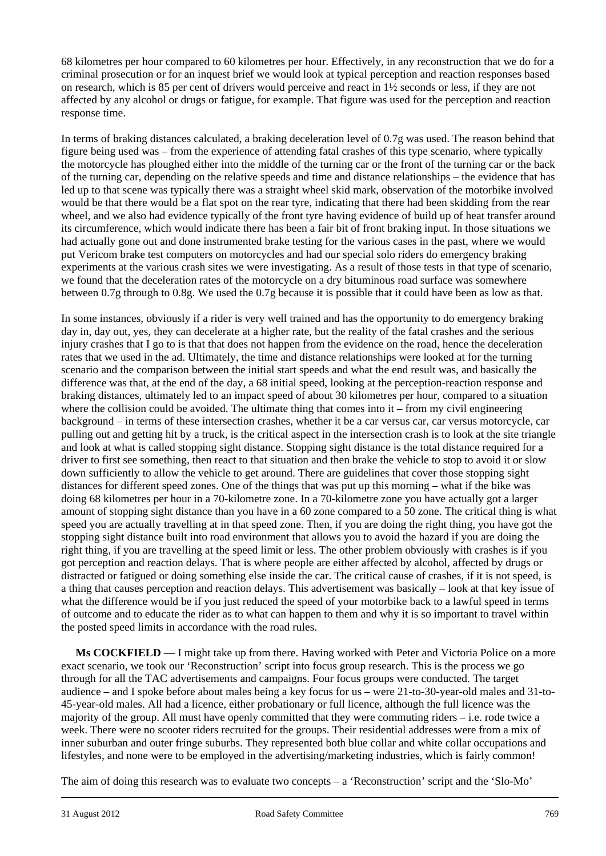68 kilometres per hour compared to 60 kilometres per hour. Effectively, in any reconstruction that we do for a criminal prosecution or for an inquest brief we would look at typical perception and reaction responses based on research, which is 85 per cent of drivers would perceive and react in 1½ seconds or less, if they are not affected by any alcohol or drugs or fatigue, for example. That figure was used for the perception and reaction response time.

In terms of braking distances calculated, a braking deceleration level of 0.7g was used. The reason behind that figure being used was – from the experience of attending fatal crashes of this type scenario, where typically the motorcycle has ploughed either into the middle of the turning car or the front of the turning car or the back of the turning car, depending on the relative speeds and time and distance relationships – the evidence that has led up to that scene was typically there was a straight wheel skid mark, observation of the motorbike involved would be that there would be a flat spot on the rear tyre, indicating that there had been skidding from the rear wheel, and we also had evidence typically of the front tyre having evidence of build up of heat transfer around its circumference, which would indicate there has been a fair bit of front braking input. In those situations we had actually gone out and done instrumented brake testing for the various cases in the past, where we would put Vericom brake test computers on motorcycles and had our special solo riders do emergency braking experiments at the various crash sites we were investigating. As a result of those tests in that type of scenario, we found that the deceleration rates of the motorcycle on a dry bituminous road surface was somewhere between 0.7g through to 0.8g. We used the 0.7g because it is possible that it could have been as low as that.

In some instances, obviously if a rider is very well trained and has the opportunity to do emergency braking day in, day out, yes, they can decelerate at a higher rate, but the reality of the fatal crashes and the serious injury crashes that I go to is that that does not happen from the evidence on the road, hence the deceleration rates that we used in the ad. Ultimately, the time and distance relationships were looked at for the turning scenario and the comparison between the initial start speeds and what the end result was, and basically the difference was that, at the end of the day, a 68 initial speed, looking at the perception-reaction response and braking distances, ultimately led to an impact speed of about 30 kilometres per hour, compared to a situation where the collision could be avoided. The ultimate thing that comes into it – from my civil engineering background – in terms of these intersection crashes, whether it be a car versus car, car versus motorcycle, car pulling out and getting hit by a truck, is the critical aspect in the intersection crash is to look at the site triangle and look at what is called stopping sight distance. Stopping sight distance is the total distance required for a driver to first see something, then react to that situation and then brake the vehicle to stop to avoid it or slow down sufficiently to allow the vehicle to get around. There are guidelines that cover those stopping sight distances for different speed zones. One of the things that was put up this morning – what if the bike was doing 68 kilometres per hour in a 70-kilometre zone. In a 70-kilometre zone you have actually got a larger amount of stopping sight distance than you have in a 60 zone compared to a 50 zone. The critical thing is what speed you are actually travelling at in that speed zone. Then, if you are doing the right thing, you have got the stopping sight distance built into road environment that allows you to avoid the hazard if you are doing the right thing, if you are travelling at the speed limit or less. The other problem obviously with crashes is if you got perception and reaction delays. That is where people are either affected by alcohol, affected by drugs or distracted or fatigued or doing something else inside the car. The critical cause of crashes, if it is not speed, is a thing that causes perception and reaction delays. This advertisement was basically – look at that key issue of what the difference would be if you just reduced the speed of your motorbike back to a lawful speed in terms of outcome and to educate the rider as to what can happen to them and why it is so important to travel within the posted speed limits in accordance with the road rules.

**Ms COCKFIELD** — I might take up from there. Having worked with Peter and Victoria Police on a more exact scenario, we took our 'Reconstruction' script into focus group research. This is the process we go through for all the TAC advertisements and campaigns. Four focus groups were conducted. The target audience – and I spoke before about males being a key focus for us – were 21-to-30-year-old males and 31-to-45-year-old males. All had a licence, either probationary or full licence, although the full licence was the majority of the group. All must have openly committed that they were commuting riders – i.e. rode twice a week. There were no scooter riders recruited for the groups. Their residential addresses were from a mix of inner suburban and outer fringe suburbs. They represented both blue collar and white collar occupations and lifestyles, and none were to be employed in the advertising/marketing industries, which is fairly common!

l The aim of doing this research was to evaluate two concepts – a 'Reconstruction' script and the 'Slo-Mo'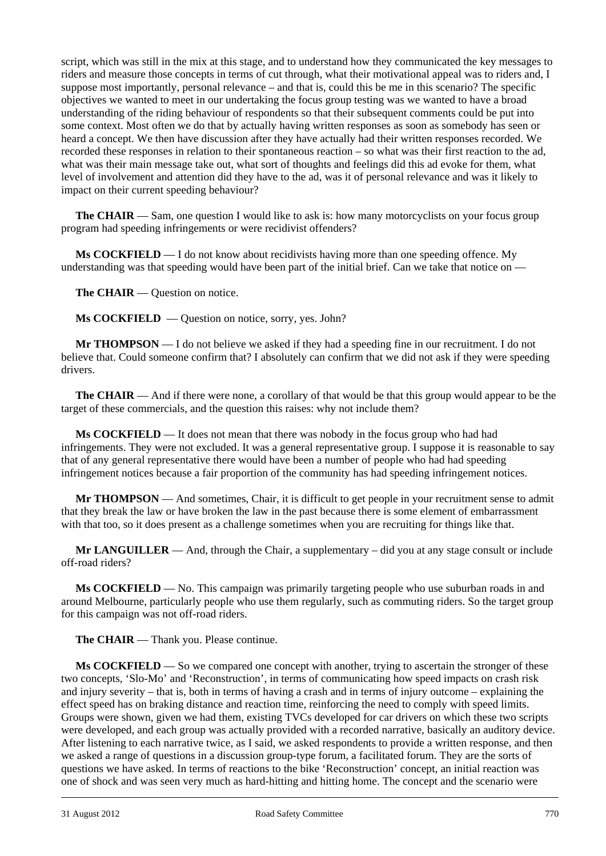script, which was still in the mix at this stage, and to understand how they communicated the key messages to riders and measure those concepts in terms of cut through, what their motivational appeal was to riders and, I suppose most importantly, personal relevance – and that is, could this be me in this scenario? The specific objectives we wanted to meet in our undertaking the focus group testing was we wanted to have a broad understanding of the riding behaviour of respondents so that their subsequent comments could be put into some context. Most often we do that by actually having written responses as soon as somebody has seen or heard a concept. We then have discussion after they have actually had their written responses recorded. We recorded these responses in relation to their spontaneous reaction – so what was their first reaction to the ad, what was their main message take out, what sort of thoughts and feelings did this ad evoke for them, what level of involvement and attention did they have to the ad, was it of personal relevance and was it likely to impact on their current speeding behaviour?

**The CHAIR** — Sam, one question I would like to ask is: how many motorcyclists on your focus group program had speeding infringements or were recidivist offenders?

**Ms COCKFIELD** — I do not know about recidivists having more than one speeding offence. My understanding was that speeding would have been part of the initial brief. Can we take that notice on —

The CHAIR — Question on notice.

**Ms COCKFIELD** — Question on notice, sorry, yes. John?

**Mr THOMPSON** — I do not believe we asked if they had a speeding fine in our recruitment. I do not believe that. Could someone confirm that? I absolutely can confirm that we did not ask if they were speeding drivers.

**The CHAIR** — And if there were none, a corollary of that would be that this group would appear to be the target of these commercials, and the question this raises: why not include them?

**Ms COCKFIELD** — It does not mean that there was nobody in the focus group who had had infringements. They were not excluded. It was a general representative group. I suppose it is reasonable to say that of any general representative there would have been a number of people who had had speeding infringement notices because a fair proportion of the community has had speeding infringement notices.

**Mr THOMPSON** — And sometimes, Chair, it is difficult to get people in your recruitment sense to admit that they break the law or have broken the law in the past because there is some element of embarrassment with that too, so it does present as a challenge sometimes when you are recruiting for things like that.

**Mr LANGUILLER** — And, through the Chair, a supplementary – did you at any stage consult or include off-road riders?

**Ms COCKFIELD** — No. This campaign was primarily targeting people who use suburban roads in and around Melbourne, particularly people who use them regularly, such as commuting riders. So the target group for this campaign was not off-road riders.

**The CHAIR** — Thank you. Please continue.

l **Ms COCKFIELD** — So we compared one concept with another, trying to ascertain the stronger of these two concepts, 'Slo-Mo' and 'Reconstruction', in terms of communicating how speed impacts on crash risk and injury severity – that is, both in terms of having a crash and in terms of injury outcome – explaining the effect speed has on braking distance and reaction time, reinforcing the need to comply with speed limits. Groups were shown, given we had them, existing TVCs developed for car drivers on which these two scripts were developed, and each group was actually provided with a recorded narrative, basically an auditory device. After listening to each narrative twice, as I said, we asked respondents to provide a written response, and then we asked a range of questions in a discussion group-type forum, a facilitated forum. They are the sorts of questions we have asked. In terms of reactions to the bike 'Reconstruction' concept, an initial reaction was one of shock and was seen very much as hard-hitting and hitting home. The concept and the scenario were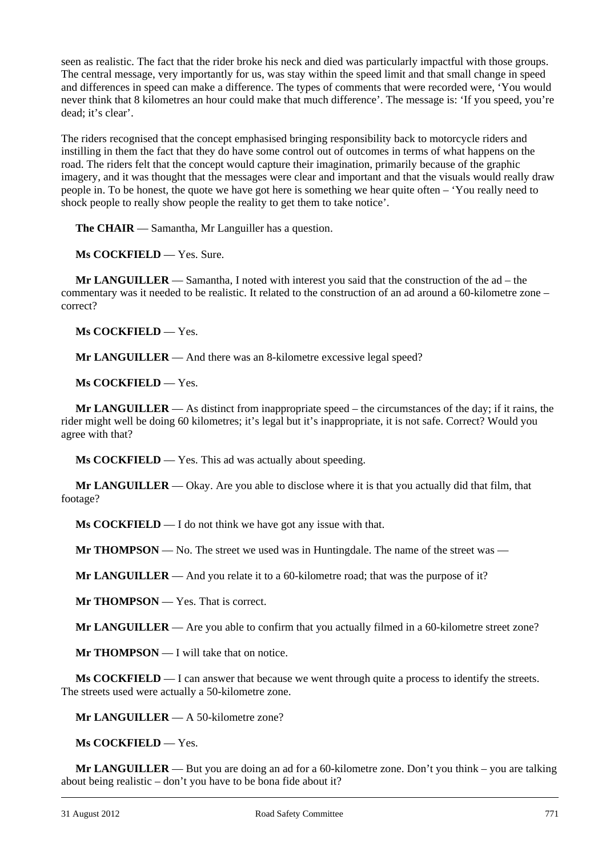seen as realistic. The fact that the rider broke his neck and died was particularly impactful with those groups. The central message, very importantly for us, was stay within the speed limit and that small change in speed and differences in speed can make a difference. The types of comments that were recorded were, 'You would never think that 8 kilometres an hour could make that much difference'. The message is: 'If you speed, you're dead; it's clear'.

The riders recognised that the concept emphasised bringing responsibility back to motorcycle riders and instilling in them the fact that they do have some control out of outcomes in terms of what happens on the road. The riders felt that the concept would capture their imagination, primarily because of the graphic imagery, and it was thought that the messages were clear and important and that the visuals would really draw people in. To be honest, the quote we have got here is something we hear quite often – 'You really need to shock people to really show people the reality to get them to take notice'.

**The CHAIR** — Samantha, Mr Languiller has a question.

**Ms COCKFIELD** — Yes. Sure.

**Mr LANGUILLER** — Samantha, I noted with interest you said that the construction of the ad – the commentary was it needed to be realistic. It related to the construction of an ad around a 60-kilometre zone – correct?

**Ms COCKFIELD** — Yes.

**Mr LANGUILLER** — And there was an 8-kilometre excessive legal speed?

**Ms COCKFIELD** — Yes.

**Mr LANGUILLER** — As distinct from inappropriate speed – the circumstances of the day; if it rains, the rider might well be doing 60 kilometres; it's legal but it's inappropriate, it is not safe. Correct? Would you agree with that?

**Ms COCKFIELD** — Yes. This ad was actually about speeding.

**Mr LANGUILLER** — Okay. Are you able to disclose where it is that you actually did that film, that footage?

**Ms COCKFIELD** — I do not think we have got any issue with that.

**Mr THOMPSON** — No. The street we used was in Huntingdale. The name of the street was —

**Mr LANGUILLER** — And you relate it to a 60-kilometre road; that was the purpose of it?

**Mr THOMPSON** — Yes. That is correct.

**Mr LANGUILLER** — Are you able to confirm that you actually filmed in a 60-kilometre street zone?

**Mr THOMPSON** — I will take that on notice.

**Ms COCKFIELD** — I can answer that because we went through quite a process to identify the streets. The streets used were actually a 50-kilometre zone.

**Mr LANGUILLER** — A 50-kilometre zone?

**Ms COCKFIELD** — Yes.

l **Mr LANGUILLER** — But you are doing an ad for a 60-kilometre zone. Don't you think – you are talking about being realistic – don't you have to be bona fide about it?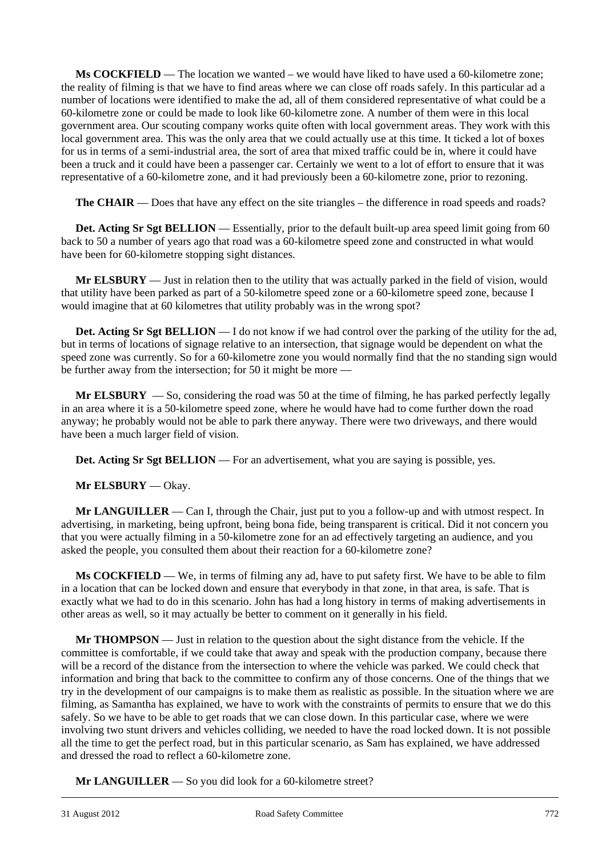**Ms COCKFIELD** — The location we wanted – we would have liked to have used a 60-kilometre zone; the reality of filming is that we have to find areas where we can close off roads safely. In this particular ad a number of locations were identified to make the ad, all of them considered representative of what could be a 60-kilometre zone or could be made to look like 60-kilometre zone. A number of them were in this local government area. Our scouting company works quite often with local government areas. They work with this local government area. This was the only area that we could actually use at this time. It ticked a lot of boxes for us in terms of a semi-industrial area, the sort of area that mixed traffic could be in, where it could have been a truck and it could have been a passenger car. Certainly we went to a lot of effort to ensure that it was representative of a 60-kilometre zone, and it had previously been a 60-kilometre zone, prior to rezoning.

**The CHAIR** — Does that have any effect on the site triangles – the difference in road speeds and roads?

**Det. Acting Sr Sgt BELLION** — Essentially, prior to the default built-up area speed limit going from 60 back to 50 a number of years ago that road was a 60-kilometre speed zone and constructed in what would have been for 60-kilometre stopping sight distances.

**Mr ELSBURY** — Just in relation then to the utility that was actually parked in the field of vision, would that utility have been parked as part of a 50-kilometre speed zone or a 60-kilometre speed zone, because I would imagine that at 60 kilometres that utility probably was in the wrong spot?

**Det. Acting Sr Sgt BELLION** — I do not know if we had control over the parking of the utility for the ad, but in terms of locations of signage relative to an intersection, that signage would be dependent on what the speed zone was currently. So for a 60-kilometre zone you would normally find that the no standing sign would be further away from the intersection; for 50 it might be more —

**Mr ELSBURY** — So, considering the road was 50 at the time of filming, he has parked perfectly legally in an area where it is a 50-kilometre speed zone, where he would have had to come further down the road anyway; he probably would not be able to park there anyway. There were two driveways, and there would have been a much larger field of vision.

**Det. Acting Sr Sgt BELLION** — For an advertisement, what you are saying is possible, yes.

**Mr ELSBURY** — Okay.

**Mr LANGUILLER** — Can I, through the Chair, just put to you a follow-up and with utmost respect. In advertising, in marketing, being upfront, being bona fide, being transparent is critical. Did it not concern you that you were actually filming in a 50-kilometre zone for an ad effectively targeting an audience, and you asked the people, you consulted them about their reaction for a 60-kilometre zone?

**Ms COCKFIELD** — We, in terms of filming any ad, have to put safety first. We have to be able to film in a location that can be locked down and ensure that everybody in that zone, in that area, is safe. That is exactly what we had to do in this scenario. John has had a long history in terms of making advertisements in other areas as well, so it may actually be better to comment on it generally in his field.

**Mr THOMPSON** — Just in relation to the question about the sight distance from the vehicle. If the committee is comfortable, if we could take that away and speak with the production company, because there will be a record of the distance from the intersection to where the vehicle was parked. We could check that information and bring that back to the committee to confirm any of those concerns. One of the things that we try in the development of our campaigns is to make them as realistic as possible. In the situation where we are filming, as Samantha has explained, we have to work with the constraints of permits to ensure that we do this safely. So we have to be able to get roads that we can close down. In this particular case, where we were involving two stunt drivers and vehicles colliding, we needed to have the road locked down. It is not possible all the time to get the perfect road, but in this particular scenario, as Sam has explained, we have addressed and dressed the road to reflect a 60-kilometre zone.

**Mr LANGUILLER** — So you did look for a 60-kilometre street?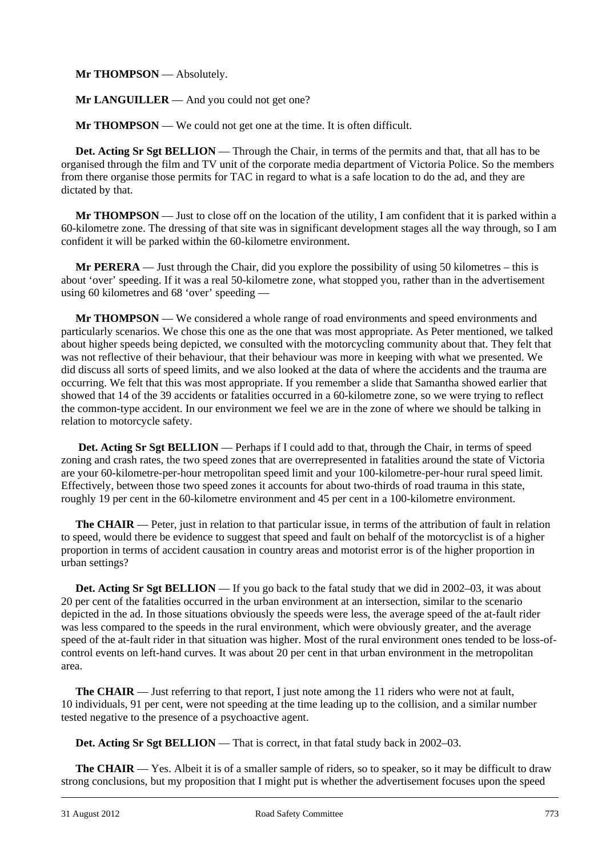**Mr THOMPSON** — Absolutely.

**Mr LANGUILLER** — And you could not get one?

**Mr THOMPSON** — We could not get one at the time. It is often difficult.

**Det. Acting Sr Sgt BELLION** — Through the Chair, in terms of the permits and that, that all has to be organised through the film and TV unit of the corporate media department of Victoria Police. So the members from there organise those permits for TAC in regard to what is a safe location to do the ad, and they are dictated by that.

**Mr THOMPSON** — Just to close off on the location of the utility, I am confident that it is parked within a 60-kilometre zone. The dressing of that site was in significant development stages all the way through, so I am confident it will be parked within the 60-kilometre environment.

**Mr PERERA** — Just through the Chair, did you explore the possibility of using 50 kilometres – this is about 'over' speeding. If it was a real 50-kilometre zone, what stopped you, rather than in the advertisement using 60 kilometres and 68 'over' speeding —

**Mr THOMPSON** — We considered a whole range of road environments and speed environments and particularly scenarios. We chose this one as the one that was most appropriate. As Peter mentioned, we talked about higher speeds being depicted, we consulted with the motorcycling community about that. They felt that was not reflective of their behaviour, that their behaviour was more in keeping with what we presented. We did discuss all sorts of speed limits, and we also looked at the data of where the accidents and the trauma are occurring. We felt that this was most appropriate. If you remember a slide that Samantha showed earlier that showed that 14 of the 39 accidents or fatalities occurred in a 60-kilometre zone, so we were trying to reflect the common-type accident. In our environment we feel we are in the zone of where we should be talking in relation to motorcycle safety.

Det. Acting Sr Sgt BELLION — Perhaps if I could add to that, through the Chair, in terms of speed zoning and crash rates, the two speed zones that are overrepresented in fatalities around the state of Victoria are your 60-kilometre-per-hour metropolitan speed limit and your 100-kilometre-per-hour rural speed limit. Effectively, between those two speed zones it accounts for about two-thirds of road trauma in this state, roughly 19 per cent in the 60-kilometre environment and 45 per cent in a 100-kilometre environment.

**The CHAIR** — Peter, just in relation to that particular issue, in terms of the attribution of fault in relation to speed, would there be evidence to suggest that speed and fault on behalf of the motorcyclist is of a higher proportion in terms of accident causation in country areas and motorist error is of the higher proportion in urban settings?

**Det. Acting Sr Sgt BELLION** — If you go back to the fatal study that we did in 2002–03, it was about 20 per cent of the fatalities occurred in the urban environment at an intersection, similar to the scenario depicted in the ad. In those situations obviously the speeds were less, the average speed of the at-fault rider was less compared to the speeds in the rural environment, which were obviously greater, and the average speed of the at-fault rider in that situation was higher. Most of the rural environment ones tended to be loss-ofcontrol events on left-hand curves. It was about 20 per cent in that urban environment in the metropolitan area.

**The CHAIR** — Just referring to that report, I just note among the 11 riders who were not at fault, 10 individuals, 91 per cent, were not speeding at the time leading up to the collision, and a similar number tested negative to the presence of a psychoactive agent.

**Det. Acting Sr Sgt BELLION** — That is correct, in that fatal study back in 2002–03.

l **The CHAIR** — Yes. Albeit it is of a smaller sample of riders, so to speaker, so it may be difficult to draw strong conclusions, but my proposition that I might put is whether the advertisement focuses upon the speed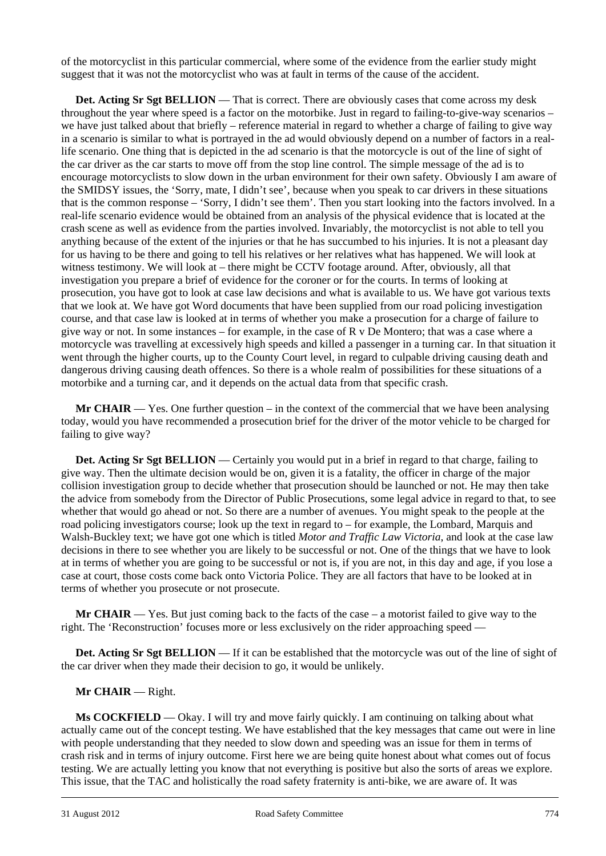of the motorcyclist in this particular commercial, where some of the evidence from the earlier study might suggest that it was not the motorcyclist who was at fault in terms of the cause of the accident.

**Det. Acting Sr Sgt BELLION** — That is correct. There are obviously cases that come across my desk throughout the year where speed is a factor on the motorbike. Just in regard to failing-to-give-way scenarios – we have just talked about that briefly – reference material in regard to whether a charge of failing to give way in a scenario is similar to what is portrayed in the ad would obviously depend on a number of factors in a reallife scenario. One thing that is depicted in the ad scenario is that the motorcycle is out of the line of sight of the car driver as the car starts to move off from the stop line control. The simple message of the ad is to encourage motorcyclists to slow down in the urban environment for their own safety. Obviously I am aware of the SMIDSY issues, the 'Sorry, mate, I didn't see', because when you speak to car drivers in these situations that is the common response – 'Sorry, I didn't see them'. Then you start looking into the factors involved. In a real-life scenario evidence would be obtained from an analysis of the physical evidence that is located at the crash scene as well as evidence from the parties involved. Invariably, the motorcyclist is not able to tell you anything because of the extent of the injuries or that he has succumbed to his injuries. It is not a pleasant day for us having to be there and going to tell his relatives or her relatives what has happened. We will look at witness testimony. We will look at – there might be CCTV footage around. After, obviously, all that investigation you prepare a brief of evidence for the coroner or for the courts. In terms of looking at prosecution, you have got to look at case law decisions and what is available to us. We have got various texts that we look at. We have got Word documents that have been supplied from our road policing investigation course, and that case law is looked at in terms of whether you make a prosecution for a charge of failure to give way or not. In some instances – for example, in the case of R v De Montero; that was a case where a motorcycle was travelling at excessively high speeds and killed a passenger in a turning car. In that situation it went through the higher courts, up to the County Court level, in regard to culpable driving causing death and dangerous driving causing death offences. So there is a whole realm of possibilities for these situations of a motorbike and a turning car, and it depends on the actual data from that specific crash.

**Mr CHAIR** — Yes. One further question – in the context of the commercial that we have been analysing today, would you have recommended a prosecution brief for the driver of the motor vehicle to be charged for failing to give way?

**Det. Acting Sr Sgt BELLION** — Certainly you would put in a brief in regard to that charge, failing to give way. Then the ultimate decision would be on, given it is a fatality, the officer in charge of the major collision investigation group to decide whether that prosecution should be launched or not. He may then take the advice from somebody from the Director of Public Prosecutions, some legal advice in regard to that, to see whether that would go ahead or not. So there are a number of avenues. You might speak to the people at the road policing investigators course; look up the text in regard to – for example, the Lombard, Marquis and Walsh-Buckley text; we have got one which is titled *Motor and Traffic Law Victoria*, and look at the case law decisions in there to see whether you are likely to be successful or not. One of the things that we have to look at in terms of whether you are going to be successful or not is, if you are not, in this day and age, if you lose a case at court, those costs come back onto Victoria Police. They are all factors that have to be looked at in terms of whether you prosecute or not prosecute.

**Mr CHAIR** — Yes. But just coming back to the facts of the case – a motorist failed to give way to the right. The 'Reconstruction' focuses more or less exclusively on the rider approaching speed —

**Det. Acting Sr Sgt BELLION** — If it can be established that the motorcycle was out of the line of sight of the car driver when they made their decision to go, it would be unlikely.

#### **Mr CHAIR** — Right.

l **Ms COCKFIELD** — Okay. I will try and move fairly quickly. I am continuing on talking about what actually came out of the concept testing. We have established that the key messages that came out were in line with people understanding that they needed to slow down and speeding was an issue for them in terms of crash risk and in terms of injury outcome. First here we are being quite honest about what comes out of focus testing. We are actually letting you know that not everything is positive but also the sorts of areas we explore. This issue, that the TAC and holistically the road safety fraternity is anti-bike, we are aware of. It was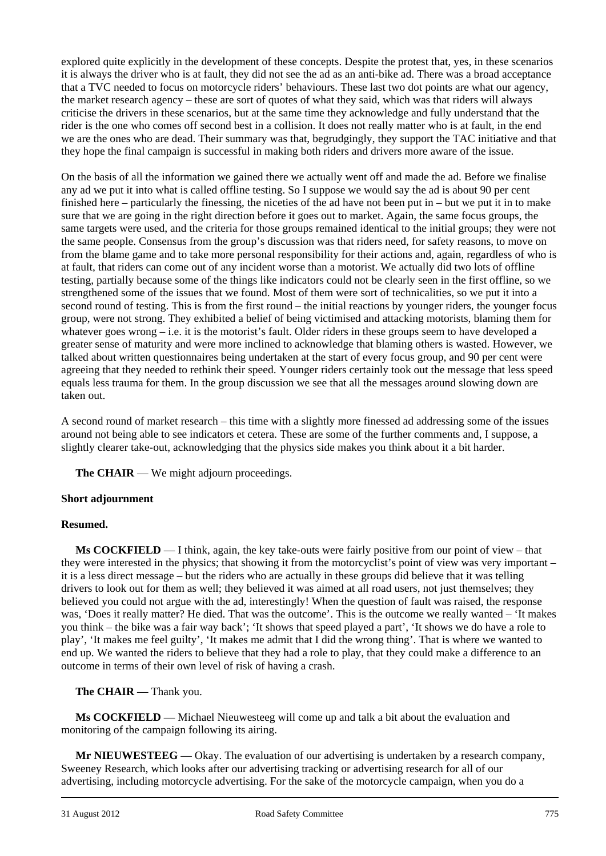explored quite explicitly in the development of these concepts. Despite the protest that, yes, in these scenarios it is always the driver who is at fault, they did not see the ad as an anti-bike ad. There was a broad acceptance that a TVC needed to focus on motorcycle riders' behaviours. These last two dot points are what our agency, the market research agency – these are sort of quotes of what they said, which was that riders will always criticise the drivers in these scenarios, but at the same time they acknowledge and fully understand that the rider is the one who comes off second best in a collision. It does not really matter who is at fault, in the end we are the ones who are dead. Their summary was that, begrudgingly, they support the TAC initiative and that they hope the final campaign is successful in making both riders and drivers more aware of the issue.

On the basis of all the information we gained there we actually went off and made the ad. Before we finalise any ad we put it into what is called offline testing. So I suppose we would say the ad is about 90 per cent finished here – particularly the finessing, the niceties of the ad have not been put in – but we put it in to make sure that we are going in the right direction before it goes out to market. Again, the same focus groups, the same targets were used, and the criteria for those groups remained identical to the initial groups; they were not the same people. Consensus from the group's discussion was that riders need, for safety reasons, to move on from the blame game and to take more personal responsibility for their actions and, again, regardless of who is at fault, that riders can come out of any incident worse than a motorist. We actually did two lots of offline testing, partially because some of the things like indicators could not be clearly seen in the first offline, so we strengthened some of the issues that we found. Most of them were sort of technicalities, so we put it into a second round of testing. This is from the first round – the initial reactions by younger riders, the younger focus group, were not strong. They exhibited a belief of being victimised and attacking motorists, blaming them for whatever goes wrong – i.e. it is the motorist's fault. Older riders in these groups seem to have developed a greater sense of maturity and were more inclined to acknowledge that blaming others is wasted. However, we talked about written questionnaires being undertaken at the start of every focus group, and 90 per cent were agreeing that they needed to rethink their speed. Younger riders certainly took out the message that less speed equals less trauma for them. In the group discussion we see that all the messages around slowing down are taken out.

A second round of market research – this time with a slightly more finessed ad addressing some of the issues around not being able to see indicators et cetera. These are some of the further comments and, I suppose, a slightly clearer take-out, acknowledging that the physics side makes you think about it a bit harder.

**The CHAIR** — We might adjourn proceedings.

#### **Short adjournment**

#### **Resumed.**

**Ms COCKFIELD** — I think, again, the key take-outs were fairly positive from our point of view – that they were interested in the physics; that showing it from the motorcyclist's point of view was very important – it is a less direct message – but the riders who are actually in these groups did believe that it was telling drivers to look out for them as well; they believed it was aimed at all road users, not just themselves; they believed you could not argue with the ad, interestingly! When the question of fault was raised, the response was, 'Does it really matter? He died. That was the outcome'. This is the outcome we really wanted – 'It makes you think – the bike was a fair way back'; 'It shows that speed played a part', 'It shows we do have a role to play', 'It makes me feel guilty', 'It makes me admit that I did the wrong thing'. That is where we wanted to end up. We wanted the riders to believe that they had a role to play, that they could make a difference to an outcome in terms of their own level of risk of having a crash.

**The CHAIR** — Thank you.

 **Ms COCKFIELD** — Michael Nieuwesteeg will come up and talk a bit about the evaluation and monitoring of the campaign following its airing.

l **Mr NIEUWESTEEG** — Okay. The evaluation of our advertising is undertaken by a research company, Sweeney Research, which looks after our advertising tracking or advertising research for all of our advertising, including motorcycle advertising. For the sake of the motorcycle campaign, when you do a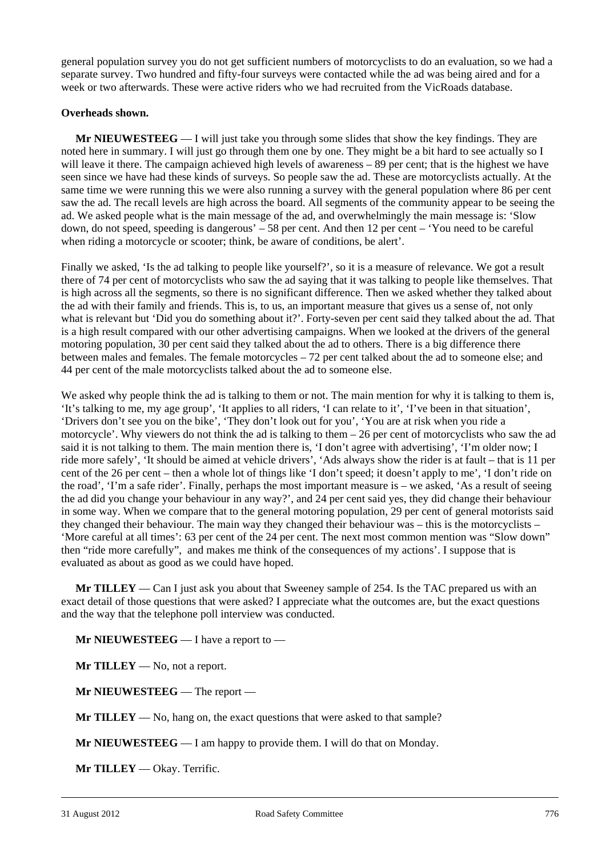general population survey you do not get sufficient numbers of motorcyclists to do an evaluation, so we had a separate survey. Two hundred and fifty-four surveys were contacted while the ad was being aired and for a week or two afterwards. These were active riders who we had recruited from the VicRoads database.

#### **Overheads shown.**

**Mr NIEUWESTEEG** — I will just take you through some slides that show the key findings. They are noted here in summary. I will just go through them one by one. They might be a bit hard to see actually so I will leave it there. The campaign achieved high levels of awareness – 89 per cent; that is the highest we have seen since we have had these kinds of surveys. So people saw the ad. These are motorcyclists actually. At the same time we were running this we were also running a survey with the general population where 86 per cent saw the ad. The recall levels are high across the board. All segments of the community appear to be seeing the ad. We asked people what is the main message of the ad, and overwhelmingly the main message is: 'Slow down, do not speed, speeding is dangerous' – 58 per cent. And then 12 per cent – 'You need to be careful when riding a motorcycle or scooter; think, be aware of conditions, be alert'.

Finally we asked, 'Is the ad talking to people like yourself?', so it is a measure of relevance. We got a result there of 74 per cent of motorcyclists who saw the ad saying that it was talking to people like themselves. That is high across all the segments, so there is no significant difference. Then we asked whether they talked about the ad with their family and friends. This is, to us, an important measure that gives us a sense of, not only what is relevant but 'Did you do something about it?'. Forty-seven per cent said they talked about the ad. That is a high result compared with our other advertising campaigns. When we looked at the drivers of the general motoring population, 30 per cent said they talked about the ad to others. There is a big difference there between males and females. The female motorcycles – 72 per cent talked about the ad to someone else; and 44 per cent of the male motorcyclists talked about the ad to someone else.

We asked why people think the ad is talking to them or not. The main mention for why it is talking to them is, 'It's talking to me, my age group', 'It applies to all riders, 'I can relate to it', 'I've been in that situation', 'Drivers don't see you on the bike', 'They don't look out for you', 'You are at risk when you ride a motorcycle'. Why viewers do not think the ad is talking to them – 26 per cent of motorcyclists who saw the ad said it is not talking to them. The main mention there is, 'I don't agree with advertising', 'I'm older now; I ride more safely', 'It should be aimed at vehicle drivers', 'Ads always show the rider is at fault – that is 11 per cent of the 26 per cent – then a whole lot of things like 'I don't speed; it doesn't apply to me', 'I don't ride on the road', 'I'm a safe rider'. Finally, perhaps the most important measure is – we asked, 'As a result of seeing the ad did you change your behaviour in any way?', and 24 per cent said yes, they did change their behaviour in some way. When we compare that to the general motoring population, 29 per cent of general motorists said they changed their behaviour. The main way they changed their behaviour was – this is the motorcyclists – 'More careful at all times': 63 per cent of the 24 per cent. The next most common mention was "Slow down" then "ride more carefully", and makes me think of the consequences of my actions'. I suppose that is evaluated as about as good as we could have hoped.

**Mr TILLEY** — Can I just ask you about that Sweeney sample of 254. Is the TAC prepared us with an exact detail of those questions that were asked? I appreciate what the outcomes are, but the exact questions and the way that the telephone poll interview was conducted.

**Mr NIEUWESTEEG** — I have a report to —

**Mr TILLEY** — No, not a report.

**Mr NIEUWESTEEG** — The report —

**Mr TILLEY** — No, hang on, the exact questions that were asked to that sample?

**Mr NIEUWESTEEG** — I am happy to provide them. I will do that on Monday.

**Mr TILLEY** — Okay. Terrific.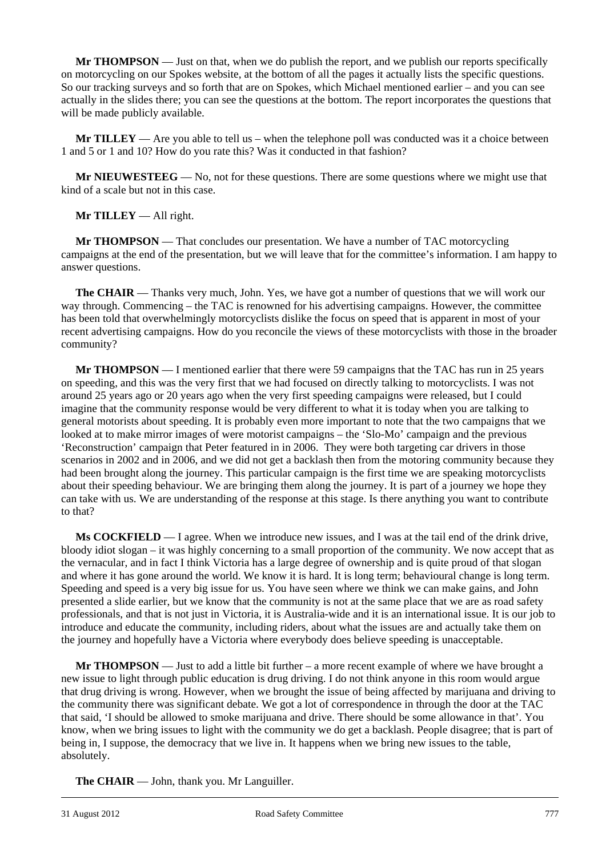**Mr THOMPSON** — Just on that, when we do publish the report, and we publish our reports specifically on motorcycling on our Spokes website, at the bottom of all the pages it actually lists the specific questions. So our tracking surveys and so forth that are on Spokes, which Michael mentioned earlier – and you can see actually in the slides there; you can see the questions at the bottom. The report incorporates the questions that will be made publicly available.

**Mr TILLEY** — Are you able to tell us – when the telephone poll was conducted was it a choice between 1 and 5 or 1 and 10? How do you rate this? Was it conducted in that fashion?

**Mr NIEUWESTEEG** — No, not for these questions. There are some questions where we might use that kind of a scale but not in this case.

**Mr TILLEY** — All right.

**Mr THOMPSON** — That concludes our presentation. We have a number of TAC motorcycling campaigns at the end of the presentation, but we will leave that for the committee's information. I am happy to answer questions.

**The CHAIR** — Thanks very much, John. Yes, we have got a number of questions that we will work our way through. Commencing – the TAC is renowned for his advertising campaigns. However, the committee has been told that overwhelmingly motorcyclists dislike the focus on speed that is apparent in most of your recent advertising campaigns. How do you reconcile the views of these motorcyclists with those in the broader community?

**Mr THOMPSON** — I mentioned earlier that there were 59 campaigns that the TAC has run in 25 years on speeding, and this was the very first that we had focused on directly talking to motorcyclists. I was not around 25 years ago or 20 years ago when the very first speeding campaigns were released, but I could imagine that the community response would be very different to what it is today when you are talking to general motorists about speeding. It is probably even more important to note that the two campaigns that we looked at to make mirror images of were motorist campaigns – the 'Slo-Mo' campaign and the previous 'Reconstruction' campaign that Peter featured in in 2006. They were both targeting car drivers in those scenarios in 2002 and in 2006, and we did not get a backlash then from the motoring community because they had been brought along the journey. This particular campaign is the first time we are speaking motorcyclists about their speeding behaviour. We are bringing them along the journey. It is part of a journey we hope they can take with us. We are understanding of the response at this stage. Is there anything you want to contribute to that?

**Ms COCKFIELD** — I agree. When we introduce new issues, and I was at the tail end of the drink drive, bloody idiot slogan – it was highly concerning to a small proportion of the community. We now accept that as the vernacular, and in fact I think Victoria has a large degree of ownership and is quite proud of that slogan and where it has gone around the world. We know it is hard. It is long term; behavioural change is long term. Speeding and speed is a very big issue for us. You have seen where we think we can make gains, and John presented a slide earlier, but we know that the community is not at the same place that we are as road safety professionals, and that is not just in Victoria, it is Australia-wide and it is an international issue. It is our job to introduce and educate the community, including riders, about what the issues are and actually take them on the journey and hopefully have a Victoria where everybody does believe speeding is unacceptable.

**Mr THOMPSON** — Just to add a little bit further – a more recent example of where we have brought a new issue to light through public education is drug driving. I do not think anyone in this room would argue that drug driving is wrong. However, when we brought the issue of being affected by marijuana and driving to the community there was significant debate. We got a lot of correspondence in through the door at the TAC that said, 'I should be allowed to smoke marijuana and drive. There should be some allowance in that'. You know, when we bring issues to light with the community we do get a backlash. People disagree; that is part of being in, I suppose, the democracy that we live in. It happens when we bring new issues to the table, absolutely.

**The CHAIR** — John, thank you. Mr Languiller.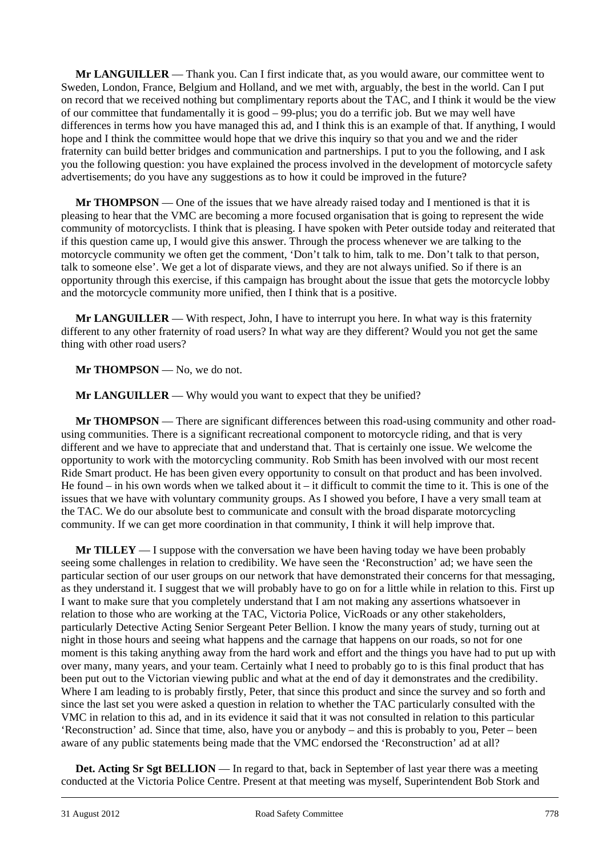**Mr LANGUILLER** — Thank you. Can I first indicate that, as you would aware, our committee went to Sweden, London, France, Belgium and Holland, and we met with, arguably, the best in the world. Can I put on record that we received nothing but complimentary reports about the TAC, and I think it would be the view of our committee that fundamentally it is good – 99-plus; you do a terrific job. But we may well have differences in terms how you have managed this ad, and I think this is an example of that. If anything, I would hope and I think the committee would hope that we drive this inquiry so that you and we and the rider fraternity can build better bridges and communication and partnerships. I put to you the following, and I ask you the following question: you have explained the process involved in the development of motorcycle safety advertisements; do you have any suggestions as to how it could be improved in the future?

**Mr THOMPSON** — One of the issues that we have already raised today and I mentioned is that it is pleasing to hear that the VMC are becoming a more focused organisation that is going to represent the wide community of motorcyclists. I think that is pleasing. I have spoken with Peter outside today and reiterated that if this question came up, I would give this answer. Through the process whenever we are talking to the motorcycle community we often get the comment, 'Don't talk to him, talk to me. Don't talk to that person, talk to someone else'. We get a lot of disparate views, and they are not always unified. So if there is an opportunity through this exercise, if this campaign has brought about the issue that gets the motorcycle lobby and the motorcycle community more unified, then I think that is a positive.

**Mr LANGUILLER** — With respect, John, I have to interrupt you here. In what way is this fraternity different to any other fraternity of road users? In what way are they different? Would you not get the same thing with other road users?

**Mr THOMPSON** — No, we do not.

**Mr LANGUILLER** — Why would you want to expect that they be unified?

**Mr THOMPSON** — There are significant differences between this road-using community and other roadusing communities. There is a significant recreational component to motorcycle riding, and that is very different and we have to appreciate that and understand that. That is certainly one issue. We welcome the opportunity to work with the motorcycling community. Rob Smith has been involved with our most recent Ride Smart product. He has been given every opportunity to consult on that product and has been involved. He found – in his own words when we talked about it – it difficult to commit the time to it. This is one of the issues that we have with voluntary community groups. As I showed you before, I have a very small team at the TAC. We do our absolute best to communicate and consult with the broad disparate motorcycling community. If we can get more coordination in that community, I think it will help improve that.

**Mr TILLEY** — I suppose with the conversation we have been having today we have been probably seeing some challenges in relation to credibility. We have seen the 'Reconstruction' ad; we have seen the particular section of our user groups on our network that have demonstrated their concerns for that messaging, as they understand it. I suggest that we will probably have to go on for a little while in relation to this. First up I want to make sure that you completely understand that I am not making any assertions whatsoever in relation to those who are working at the TAC, Victoria Police, VicRoads or any other stakeholders, particularly Detective Acting Senior Sergeant Peter Bellion. I know the many years of study, turning out at night in those hours and seeing what happens and the carnage that happens on our roads, so not for one moment is this taking anything away from the hard work and effort and the things you have had to put up with over many, many years, and your team. Certainly what I need to probably go to is this final product that has been put out to the Victorian viewing public and what at the end of day it demonstrates and the credibility. Where I am leading to is probably firstly, Peter, that since this product and since the survey and so forth and since the last set you were asked a question in relation to whether the TAC particularly consulted with the VMC in relation to this ad, and in its evidence it said that it was not consulted in relation to this particular 'Reconstruction' ad. Since that time, also, have you or anybody – and this is probably to you, Peter – been aware of any public statements being made that the VMC endorsed the 'Reconstruction' ad at all?

l **Det. Acting Sr Sgt BELLION** — In regard to that, back in September of last year there was a meeting conducted at the Victoria Police Centre. Present at that meeting was myself, Superintendent Bob Stork and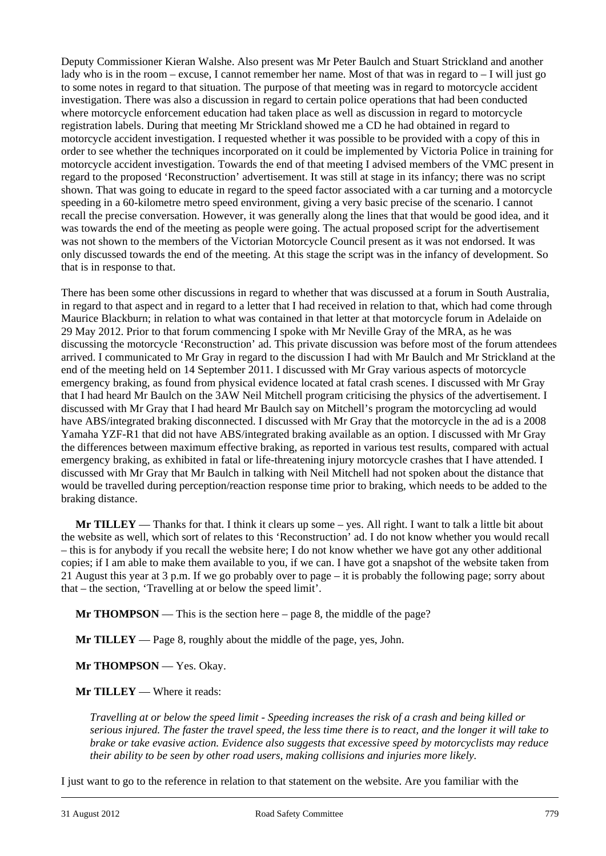Deputy Commissioner Kieran Walshe. Also present was Mr Peter Baulch and Stuart Strickland and another lady who is in the room – excuse, I cannot remember her name. Most of that was in regard to – I will just go to some notes in regard to that situation. The purpose of that meeting was in regard to motorcycle accident investigation. There was also a discussion in regard to certain police operations that had been conducted where motorcycle enforcement education had taken place as well as discussion in regard to motorcycle registration labels. During that meeting Mr Strickland showed me a CD he had obtained in regard to motorcycle accident investigation. I requested whether it was possible to be provided with a copy of this in order to see whether the techniques incorporated on it could be implemented by Victoria Police in training for motorcycle accident investigation. Towards the end of that meeting I advised members of the VMC present in regard to the proposed 'Reconstruction' advertisement. It was still at stage in its infancy; there was no script shown. That was going to educate in regard to the speed factor associated with a car turning and a motorcycle speeding in a 60-kilometre metro speed environment, giving a very basic precise of the scenario. I cannot recall the precise conversation. However, it was generally along the lines that that would be good idea, and it was towards the end of the meeting as people were going. The actual proposed script for the advertisement was not shown to the members of the Victorian Motorcycle Council present as it was not endorsed. It was only discussed towards the end of the meeting. At this stage the script was in the infancy of development. So that is in response to that.

There has been some other discussions in regard to whether that was discussed at a forum in South Australia, in regard to that aspect and in regard to a letter that I had received in relation to that, which had come through Maurice Blackburn; in relation to what was contained in that letter at that motorcycle forum in Adelaide on 29 May 2012. Prior to that forum commencing I spoke with Mr Neville Gray of the MRA, as he was discussing the motorcycle 'Reconstruction' ad. This private discussion was before most of the forum attendees arrived. I communicated to Mr Gray in regard to the discussion I had with Mr Baulch and Mr Strickland at the end of the meeting held on 14 September 2011. I discussed with Mr Gray various aspects of motorcycle emergency braking, as found from physical evidence located at fatal crash scenes. I discussed with Mr Gray that I had heard Mr Baulch on the 3AW Neil Mitchell program criticising the physics of the advertisement. I discussed with Mr Gray that I had heard Mr Baulch say on Mitchell's program the motorcycling ad would have ABS/integrated braking disconnected. I discussed with Mr Gray that the motorcycle in the ad is a 2008 Yamaha YZF-R1 that did not have ABS/integrated braking available as an option. I discussed with Mr Gray the differences between maximum effective braking, as reported in various test results, compared with actual emergency braking, as exhibited in fatal or life-threatening injury motorcycle crashes that I have attended. I discussed with Mr Gray that Mr Baulch in talking with Neil Mitchell had not spoken about the distance that would be travelled during perception/reaction response time prior to braking, which needs to be added to the braking distance.

**Mr TILLEY** — Thanks for that. I think it clears up some – yes. All right. I want to talk a little bit about the website as well, which sort of relates to this 'Reconstruction' ad. I do not know whether you would recall – this is for anybody if you recall the website here; I do not know whether we have got any other additional copies; if I am able to make them available to you, if we can. I have got a snapshot of the website taken from 21 August this year at 3 p.m. If we go probably over to page – it is probably the following page; sorry about that – the section, 'Travelling at or below the speed limit'.

**Mr THOMPSON** — This is the section here – page 8, the middle of the page?

**Mr TILLEY** — Page 8, roughly about the middle of the page, yes, John.

**Mr THOMPSON** — Yes. Okay.

**Mr TILLEY** — Where it reads:

*Travelling at or below the speed limit - Speeding increases the risk of a crash and being killed or serious injured. The faster the travel speed, the less time there is to react, and the longer it will take to brake or take evasive action. Evidence also suggests that excessive speed by motorcyclists may reduce their ability to be seen by other road users, making collisions and injuries more likely.* 

l I just want to go to the reference in relation to that statement on the website. Are you familiar with the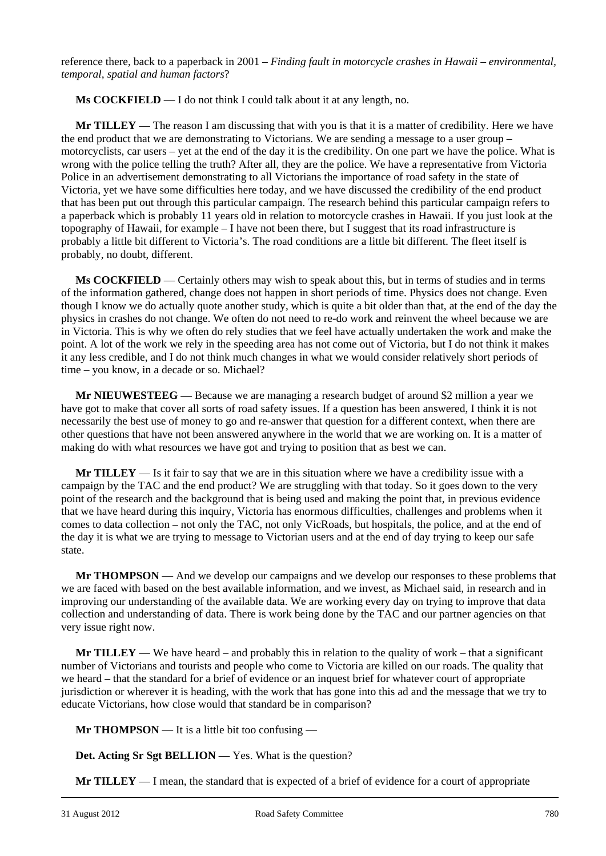reference there, back to a paperback in 2001 – *Finding fault in motorcycle crashes in Hawaii – environmental, temporal, spatial and human factors*?

**Ms COCKFIELD** — I do not think I could talk about it at any length, no.

**Mr TILLEY** — The reason I am discussing that with you is that it is a matter of credibility. Here we have the end product that we are demonstrating to Victorians. We are sending a message to a user group – motorcyclists, car users – yet at the end of the day it is the credibility. On one part we have the police. What is wrong with the police telling the truth? After all, they are the police. We have a representative from Victoria Police in an advertisement demonstrating to all Victorians the importance of road safety in the state of Victoria, yet we have some difficulties here today, and we have discussed the credibility of the end product that has been put out through this particular campaign. The research behind this particular campaign refers to a paperback which is probably 11 years old in relation to motorcycle crashes in Hawaii. If you just look at the topography of Hawaii, for example – I have not been there, but I suggest that its road infrastructure is probably a little bit different to Victoria's. The road conditions are a little bit different. The fleet itself is probably, no doubt, different.

**Ms COCKFIELD** — Certainly others may wish to speak about this, but in terms of studies and in terms of the information gathered, change does not happen in short periods of time. Physics does not change. Even though I know we do actually quote another study, which is quite a bit older than that, at the end of the day the physics in crashes do not change. We often do not need to re-do work and reinvent the wheel because we are in Victoria. This is why we often do rely studies that we feel have actually undertaken the work and make the point. A lot of the work we rely in the speeding area has not come out of Victoria, but I do not think it makes it any less credible, and I do not think much changes in what we would consider relatively short periods of time – you know, in a decade or so. Michael?

**Mr NIEUWESTEEG** — Because we are managing a research budget of around \$2 million a year we have got to make that cover all sorts of road safety issues. If a question has been answered, I think it is not necessarily the best use of money to go and re-answer that question for a different context, when there are other questions that have not been answered anywhere in the world that we are working on. It is a matter of making do with what resources we have got and trying to position that as best we can.

**Mr TILLEY** — Is it fair to say that we are in this situation where we have a credibility issue with a campaign by the TAC and the end product? We are struggling with that today. So it goes down to the very point of the research and the background that is being used and making the point that, in previous evidence that we have heard during this inquiry, Victoria has enormous difficulties, challenges and problems when it comes to data collection – not only the TAC, not only VicRoads, but hospitals, the police, and at the end of the day it is what we are trying to message to Victorian users and at the end of day trying to keep our safe state.

**Mr THOMPSON** — And we develop our campaigns and we develop our responses to these problems that we are faced with based on the best available information, and we invest, as Michael said, in research and in improving our understanding of the available data. We are working every day on trying to improve that data collection and understanding of data. There is work being done by the TAC and our partner agencies on that very issue right now.

**Mr TILLEY** — We have heard – and probably this in relation to the quality of work – that a significant number of Victorians and tourists and people who come to Victoria are killed on our roads. The quality that we heard – that the standard for a brief of evidence or an inquest brief for whatever court of appropriate jurisdiction or wherever it is heading, with the work that has gone into this ad and the message that we try to educate Victorians, how close would that standard be in comparison?

**Mr THOMPSON** — It is a little bit too confusing —

**Det. Acting Sr Sgt BELLION** — Yes. What is the question?

**Mr TILLEY** — I mean, the standard that is expected of a brief of evidence for a court of appropriate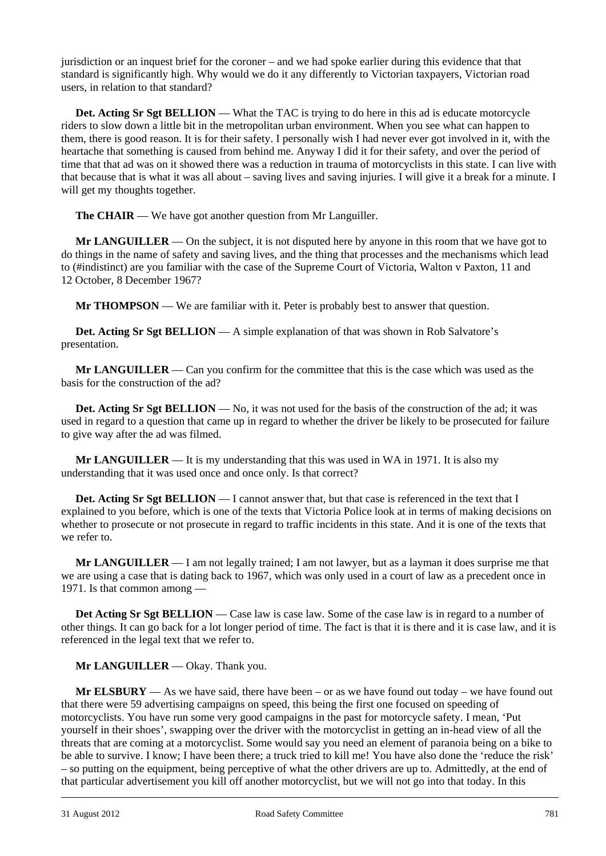jurisdiction or an inquest brief for the coroner – and we had spoke earlier during this evidence that that standard is significantly high. Why would we do it any differently to Victorian taxpayers, Victorian road users, in relation to that standard?

Det. Acting Sr Sgt BELLION — What the TAC is trying to do here in this ad is educate motorcycle riders to slow down a little bit in the metropolitan urban environment. When you see what can happen to them, there is good reason. It is for their safety. I personally wish I had never ever got involved in it, with the heartache that something is caused from behind me. Anyway I did it for their safety, and over the period of time that that ad was on it showed there was a reduction in trauma of motorcyclists in this state. I can live with that because that is what it was all about – saving lives and saving injuries. I will give it a break for a minute. I will get my thoughts together.

**The CHAIR** — We have got another question from Mr Languiller.

**Mr LANGUILLER** — On the subject, it is not disputed here by anyone in this room that we have got to do things in the name of safety and saving lives, and the thing that processes and the mechanisms which lead to (#indistinct) are you familiar with the case of the Supreme Court of Victoria, Walton v Paxton, 11 and 12 October, 8 December 1967?

**Mr THOMPSON** — We are familiar with it. Peter is probably best to answer that question.

**Det. Acting Sr Sgt BELLION** — A simple explanation of that was shown in Rob Salvatore's presentation.

**Mr LANGUILLER** — Can you confirm for the committee that this is the case which was used as the basis for the construction of the ad?

**Det. Acting Sr Sgt BELLION** — No, it was not used for the basis of the construction of the ad; it was used in regard to a question that came up in regard to whether the driver be likely to be prosecuted for failure to give way after the ad was filmed.

**Mr LANGUILLER** — It is my understanding that this was used in WA in 1971. It is also my understanding that it was used once and once only. Is that correct?

**Det. Acting Sr Sgt BELLION** — I cannot answer that, but that case is referenced in the text that I explained to you before, which is one of the texts that Victoria Police look at in terms of making decisions on whether to prosecute or not prosecute in regard to traffic incidents in this state. And it is one of the texts that we refer to.

**Mr LANGUILLER** — I am not legally trained; I am not lawyer, but as a layman it does surprise me that we are using a case that is dating back to 1967, which was only used in a court of law as a precedent once in 1971. Is that common among —

Det Acting Sr Sgt BELLION — Case law is case law. Some of the case law is in regard to a number of other things. It can go back for a lot longer period of time. The fact is that it is there and it is case law, and it is referenced in the legal text that we refer to.

### **Mr LANGUILLER** — Okay. Thank you.

l **Mr ELSBURY** — As we have said, there have been – or as we have found out today – we have found out that there were 59 advertising campaigns on speed, this being the first one focused on speeding of motorcyclists. You have run some very good campaigns in the past for motorcycle safety. I mean, 'Put yourself in their shoes', swapping over the driver with the motorcyclist in getting an in-head view of all the threats that are coming at a motorcyclist. Some would say you need an element of paranoia being on a bike to be able to survive. I know; I have been there; a truck tried to kill me! You have also done the 'reduce the risk' – so putting on the equipment, being perceptive of what the other drivers are up to. Admittedly, at the end of that particular advertisement you kill off another motorcyclist, but we will not go into that today. In this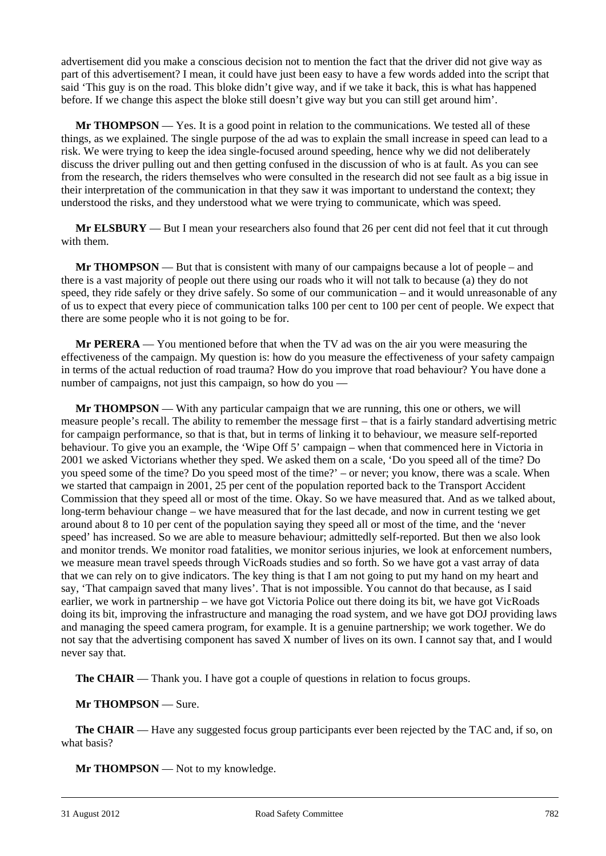advertisement did you make a conscious decision not to mention the fact that the driver did not give way as part of this advertisement? I mean, it could have just been easy to have a few words added into the script that said 'This guy is on the road. This bloke didn't give way, and if we take it back, this is what has happened before. If we change this aspect the bloke still doesn't give way but you can still get around him'.

**Mr THOMPSON** — Yes. It is a good point in relation to the communications. We tested all of these things, as we explained. The single purpose of the ad was to explain the small increase in speed can lead to a risk. We were trying to keep the idea single-focused around speeding, hence why we did not deliberately discuss the driver pulling out and then getting confused in the discussion of who is at fault. As you can see from the research, the riders themselves who were consulted in the research did not see fault as a big issue in their interpretation of the communication in that they saw it was important to understand the context; they understood the risks, and they understood what we were trying to communicate, which was speed.

**Mr ELSBURY** — But I mean your researchers also found that 26 per cent did not feel that it cut through with them.

**Mr THOMPSON** — But that is consistent with many of our campaigns because a lot of people – and there is a vast majority of people out there using our roads who it will not talk to because (a) they do not speed, they ride safely or they drive safely. So some of our communication – and it would unreasonable of any of us to expect that every piece of communication talks 100 per cent to 100 per cent of people. We expect that there are some people who it is not going to be for.

**Mr PERERA** — You mentioned before that when the TV ad was on the air you were measuring the effectiveness of the campaign. My question is: how do you measure the effectiveness of your safety campaign in terms of the actual reduction of road trauma? How do you improve that road behaviour? You have done a number of campaigns, not just this campaign, so how do you —

**Mr THOMPSON** — With any particular campaign that we are running, this one or others, we will measure people's recall. The ability to remember the message first – that is a fairly standard advertising metric for campaign performance, so that is that, but in terms of linking it to behaviour, we measure self-reported behaviour. To give you an example, the 'Wipe Off 5' campaign – when that commenced here in Victoria in 2001 we asked Victorians whether they sped. We asked them on a scale, 'Do you speed all of the time? Do you speed some of the time? Do you speed most of the time?' – or never; you know, there was a scale. When we started that campaign in 2001, 25 per cent of the population reported back to the Transport Accident Commission that they speed all or most of the time. Okay. So we have measured that. And as we talked about, long-term behaviour change – we have measured that for the last decade, and now in current testing we get around about 8 to 10 per cent of the population saying they speed all or most of the time, and the 'never speed' has increased. So we are able to measure behaviour; admittedly self-reported. But then we also look and monitor trends. We monitor road fatalities, we monitor serious injuries, we look at enforcement numbers, we measure mean travel speeds through VicRoads studies and so forth. So we have got a vast array of data that we can rely on to give indicators. The key thing is that I am not going to put my hand on my heart and say, 'That campaign saved that many lives'. That is not impossible. You cannot do that because, as I said earlier, we work in partnership – we have got Victoria Police out there doing its bit, we have got VicRoads doing its bit, improving the infrastructure and managing the road system, and we have got DOJ providing laws and managing the speed camera program, for example. It is a genuine partnership; we work together. We do not say that the advertising component has saved X number of lives on its own. I cannot say that, and I would never say that.

**The CHAIR** — Thank you. I have got a couple of questions in relation to focus groups.

#### **Mr THOMPSON** — Sure.

**The CHAIR** — Have any suggested focus group participants ever been rejected by the TAC and, if so, on what basis?

**Mr THOMPSON** — Not to my knowledge.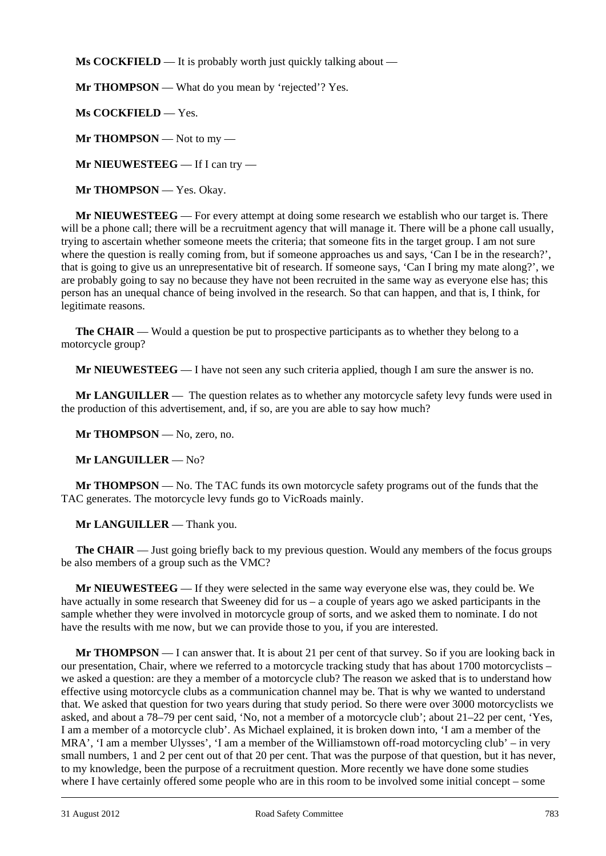**Ms COCKFIELD** — It is probably worth just quickly talking about —

**Mr THOMPSON** — What do you mean by 'rejected'? Yes.

**Ms COCKFIELD** — Yes.

**Mr THOMPSON** — Not to my —

**Mr NIEUWESTEEG** — If I can try —

**Mr THOMPSON** — Yes. Okay.

**Mr NIEUWESTEEG** — For every attempt at doing some research we establish who our target is. There will be a phone call; there will be a recruitment agency that will manage it. There will be a phone call usually, trying to ascertain whether someone meets the criteria; that someone fits in the target group. I am not sure where the question is really coming from, but if someone approaches us and says, 'Can I be in the research?', that is going to give us an unrepresentative bit of research. If someone says, 'Can I bring my mate along?', we are probably going to say no because they have not been recruited in the same way as everyone else has; this person has an unequal chance of being involved in the research. So that can happen, and that is, I think, for legitimate reasons.

**The CHAIR** — Would a question be put to prospective participants as to whether they belong to a motorcycle group?

**Mr NIEUWESTEEG** — I have not seen any such criteria applied, though I am sure the answer is no.

**Mr LANGUILLER** — The question relates as to whether any motorcycle safety levy funds were used in the production of this advertisement, and, if so, are you are able to say how much?

Mr THOMPSON — No, zero, no.

**Mr LANGUILLER** — No?

**Mr THOMPSON** — No. The TAC funds its own motorcycle safety programs out of the funds that the TAC generates. The motorcycle levy funds go to VicRoads mainly.

**Mr LANGUILLER** — Thank you.

**The CHAIR** — Just going briefly back to my previous question. Would any members of the focus groups be also members of a group such as the VMC?

**Mr NIEUWESTEEG** — If they were selected in the same way everyone else was, they could be. We have actually in some research that Sweeney did for us – a couple of years ago we asked participants in the sample whether they were involved in motorcycle group of sorts, and we asked them to nominate. I do not have the results with me now, but we can provide those to you, if you are interested.

l **Mr THOMPSON** — I can answer that. It is about 21 per cent of that survey. So if you are looking back in our presentation, Chair, where we referred to a motorcycle tracking study that has about 1700 motorcyclists – we asked a question: are they a member of a motorcycle club? The reason we asked that is to understand how effective using motorcycle clubs as a communication channel may be. That is why we wanted to understand that. We asked that question for two years during that study period. So there were over 3000 motorcyclists we asked, and about a 78–79 per cent said, 'No, not a member of a motorcycle club'; about 21–22 per cent, 'Yes, I am a member of a motorcycle club'. As Michael explained, it is broken down into, 'I am a member of the MRA', 'I am a member Ulysses', 'I am a member of the Williamstown off-road motorcycling club' – in very small numbers, 1 and 2 per cent out of that 20 per cent. That was the purpose of that question, but it has never, to my knowledge, been the purpose of a recruitment question. More recently we have done some studies where I have certainly offered some people who are in this room to be involved some initial concept – some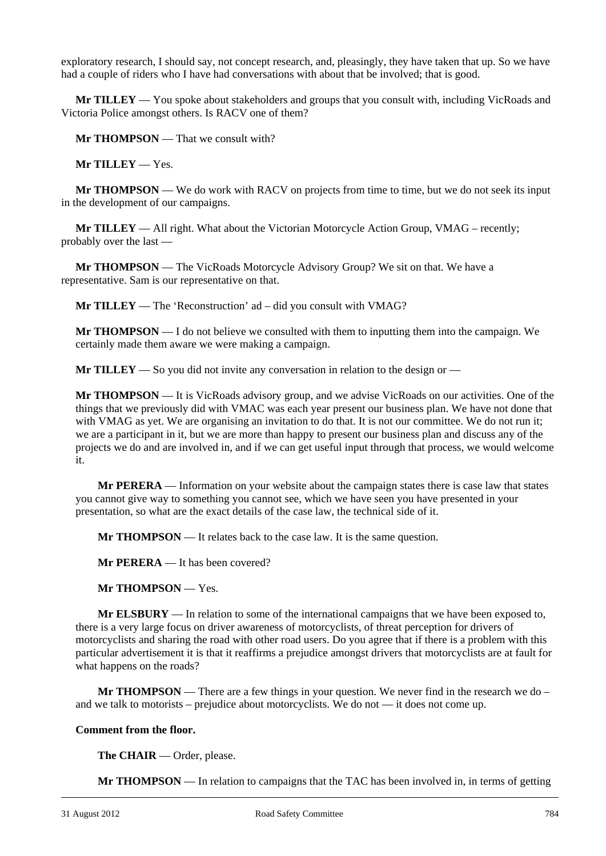exploratory research, I should say, not concept research, and, pleasingly, they have taken that up. So we have had a couple of riders who I have had conversations with about that be involved; that is good.

**Mr TILLEY** — You spoke about stakeholders and groups that you consult with, including VicRoads and Victoria Police amongst others. Is RACV one of them?

**Mr THOMPSON** — That we consult with?

**Mr TILLEY** — Yes.

**Mr THOMPSON** — We do work with RACV on projects from time to time, but we do not seek its input in the development of our campaigns.

**Mr TILLEY** — All right. What about the Victorian Motorcycle Action Group, VMAG – recently; probably over the last —

**Mr THOMPSON** — The VicRoads Motorcycle Advisory Group? We sit on that. We have a representative. Sam is our representative on that.

**Mr TILLEY** — The 'Reconstruction' ad – did you consult with VMAG?

**Mr THOMPSON** — I do not believe we consulted with them to inputting them into the campaign. We certainly made them aware we were making a campaign.

**Mr TILLEY** — So you did not invite any conversation in relation to the design or —

**Mr THOMPSON** — It is VicRoads advisory group, and we advise VicRoads on our activities. One of the things that we previously did with VMAC was each year present our business plan. We have not done that with VMAG as yet. We are organising an invitation to do that. It is not our committee. We do not run it; we are a participant in it, but we are more than happy to present our business plan and discuss any of the projects we do and are involved in, and if we can get useful input through that process, we would welcome it.

**Mr PERERA** — Information on your website about the campaign states there is case law that states you cannot give way to something you cannot see, which we have seen you have presented in your presentation, so what are the exact details of the case law, the technical side of it.

**Mr THOMPSON** — It relates back to the case law. It is the same question.

**Mr PERERA** — It has been covered?

**Mr THOMPSON** — Yes.

**Mr ELSBURY** — In relation to some of the international campaigns that we have been exposed to, there is a very large focus on driver awareness of motorcyclists, of threat perception for drivers of motorcyclists and sharing the road with other road users. Do you agree that if there is a problem with this particular advertisement it is that it reaffirms a prejudice amongst drivers that motorcyclists are at fault for what happens on the roads?

**Mr THOMPSON** — There are a few things in your question. We never find in the research we do – and we talk to motorists – prejudice about motorcyclists. We do not — it does not come up.

#### **Comment from the floor.**

 **The CHAIR** — Order, please.

**Mr THOMPSON** — In relation to campaigns that the TAC has been involved in, in terms of getting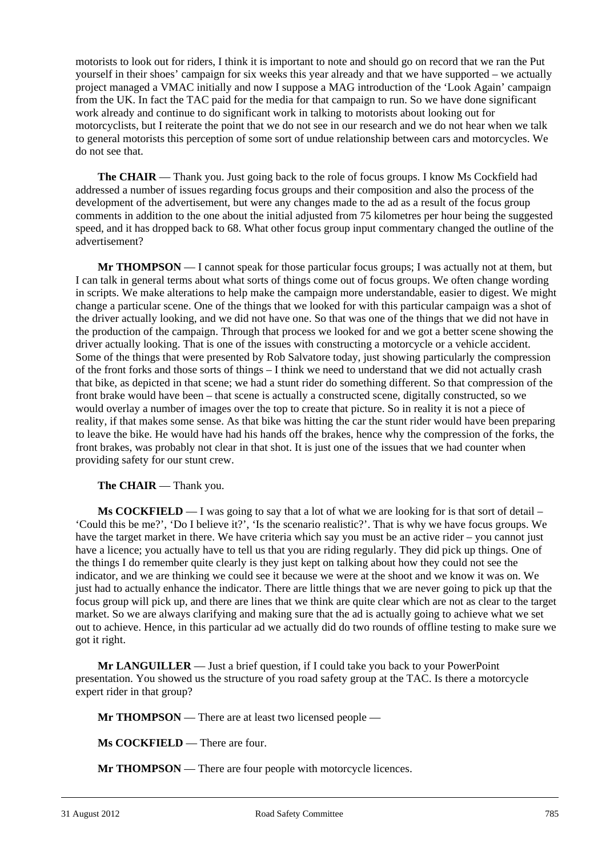motorists to look out for riders, I think it is important to note and should go on record that we ran the Put yourself in their shoes' campaign for six weeks this year already and that we have supported – we actually project managed a VMAC initially and now I suppose a MAG introduction of the 'Look Again' campaign from the UK. In fact the TAC paid for the media for that campaign to run. So we have done significant work already and continue to do significant work in talking to motorists about looking out for motorcyclists, but I reiterate the point that we do not see in our research and we do not hear when we talk to general motorists this perception of some sort of undue relationship between cars and motorcycles. We do not see that.

**The CHAIR** — Thank you. Just going back to the role of focus groups. I know Ms Cockfield had addressed a number of issues regarding focus groups and their composition and also the process of the development of the advertisement, but were any changes made to the ad as a result of the focus group comments in addition to the one about the initial adjusted from 75 kilometres per hour being the suggested speed, and it has dropped back to 68. What other focus group input commentary changed the outline of the advertisement?

**Mr THOMPSON** — I cannot speak for those particular focus groups; I was actually not at them, but I can talk in general terms about what sorts of things come out of focus groups. We often change wording in scripts. We make alterations to help make the campaign more understandable, easier to digest. We might change a particular scene. One of the things that we looked for with this particular campaign was a shot of the driver actually looking, and we did not have one. So that was one of the things that we did not have in the production of the campaign. Through that process we looked for and we got a better scene showing the driver actually looking. That is one of the issues with constructing a motorcycle or a vehicle accident. Some of the things that were presented by Rob Salvatore today, just showing particularly the compression of the front forks and those sorts of things – I think we need to understand that we did not actually crash that bike, as depicted in that scene; we had a stunt rider do something different. So that compression of the front brake would have been – that scene is actually a constructed scene, digitally constructed, so we would overlay a number of images over the top to create that picture. So in reality it is not a piece of reality, if that makes some sense. As that bike was hitting the car the stunt rider would have been preparing to leave the bike. He would have had his hands off the brakes, hence why the compression of the forks, the front brakes, was probably not clear in that shot. It is just one of the issues that we had counter when providing safety for our stunt crew.

**The CHAIR** — Thank you.

**Ms COCKFIELD** — I was going to say that a lot of what we are looking for is that sort of detail – 'Could this be me?', 'Do I believe it?', 'Is the scenario realistic?'. That is why we have focus groups. We have the target market in there. We have criteria which say you must be an active rider – you cannot just have a licence; you actually have to tell us that you are riding regularly. They did pick up things. One of the things I do remember quite clearly is they just kept on talking about how they could not see the indicator, and we are thinking we could see it because we were at the shoot and we know it was on. We just had to actually enhance the indicator. There are little things that we are never going to pick up that the focus group will pick up, and there are lines that we think are quite clear which are not as clear to the target market. So we are always clarifying and making sure that the ad is actually going to achieve what we set out to achieve. Hence, in this particular ad we actually did do two rounds of offline testing to make sure we got it right.

**Mr LANGUILLER** — Just a brief question, if I could take you back to your PowerPoint presentation. You showed us the structure of you road safety group at the TAC. Is there a motorcycle expert rider in that group?

**Mr THOMPSON** — There are at least two licensed people —

**Ms COCKFIELD** — There are four.

**Mr THOMPSON** — There are four people with motorcycle licences.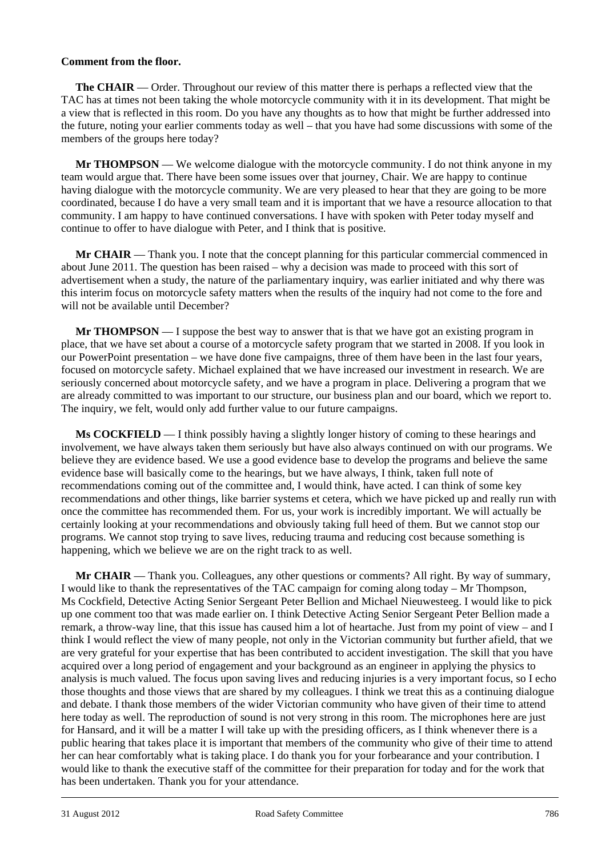#### **Comment from the floor.**

**The CHAIR** — Order. Throughout our review of this matter there is perhaps a reflected view that the TAC has at times not been taking the whole motorcycle community with it in its development. That might be a view that is reflected in this room. Do you have any thoughts as to how that might be further addressed into the future, noting your earlier comments today as well – that you have had some discussions with some of the members of the groups here today?

**Mr THOMPSON** — We welcome dialogue with the motorcycle community. I do not think anyone in my team would argue that. There have been some issues over that journey, Chair. We are happy to continue having dialogue with the motorcycle community. We are very pleased to hear that they are going to be more coordinated, because I do have a very small team and it is important that we have a resource allocation to that community. I am happy to have continued conversations. I have with spoken with Peter today myself and continue to offer to have dialogue with Peter, and I think that is positive.

**Mr CHAIR** — Thank you. I note that the concept planning for this particular commercial commenced in about June 2011. The question has been raised – why a decision was made to proceed with this sort of advertisement when a study, the nature of the parliamentary inquiry, was earlier initiated and why there was this interim focus on motorcycle safety matters when the results of the inquiry had not come to the fore and will not be available until December?

**Mr THOMPSON** — I suppose the best way to answer that is that we have got an existing program in place, that we have set about a course of a motorcycle safety program that we started in 2008. If you look in our PowerPoint presentation – we have done five campaigns, three of them have been in the last four years, focused on motorcycle safety. Michael explained that we have increased our investment in research. We are seriously concerned about motorcycle safety, and we have a program in place. Delivering a program that we are already committed to was important to our structure, our business plan and our board, which we report to. The inquiry, we felt, would only add further value to our future campaigns.

**Ms COCKFIELD** — I think possibly having a slightly longer history of coming to these hearings and involvement, we have always taken them seriously but have also always continued on with our programs. We believe they are evidence based. We use a good evidence base to develop the programs and believe the same evidence base will basically come to the hearings, but we have always, I think, taken full note of recommendations coming out of the committee and, I would think, have acted. I can think of some key recommendations and other things, like barrier systems et cetera, which we have picked up and really run with once the committee has recommended them. For us, your work is incredibly important. We will actually be certainly looking at your recommendations and obviously taking full heed of them. But we cannot stop our programs. We cannot stop trying to save lives, reducing trauma and reducing cost because something is happening, which we believe we are on the right track to as well.

l **Mr CHAIR** — Thank you. Colleagues, any other questions or comments? All right. By way of summary, I would like to thank the representatives of the TAC campaign for coming along today – Mr Thompson, Ms Cockfield, Detective Acting Senior Sergeant Peter Bellion and Michael Nieuwesteeg. I would like to pick up one comment too that was made earlier on. I think Detective Acting Senior Sergeant Peter Bellion made a remark, a throw-way line, that this issue has caused him a lot of heartache. Just from my point of view – and I think I would reflect the view of many people, not only in the Victorian community but further afield, that we are very grateful for your expertise that has been contributed to accident investigation. The skill that you have acquired over a long period of engagement and your background as an engineer in applying the physics to analysis is much valued. The focus upon saving lives and reducing injuries is a very important focus, so I echo those thoughts and those views that are shared by my colleagues. I think we treat this as a continuing dialogue and debate. I thank those members of the wider Victorian community who have given of their time to attend here today as well. The reproduction of sound is not very strong in this room. The microphones here are just for Hansard, and it will be a matter I will take up with the presiding officers, as I think whenever there is a public hearing that takes place it is important that members of the community who give of their time to attend her can hear comfortably what is taking place. I do thank you for your forbearance and your contribution. I would like to thank the executive staff of the committee for their preparation for today and for the work that has been undertaken. Thank you for your attendance.